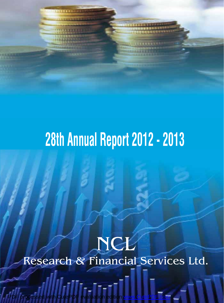

# NCL Research & Financial Services Ltd.

PDF processed with CutePDF evaluation edition [www.CutePDF.com](http://www.cutepdf.com)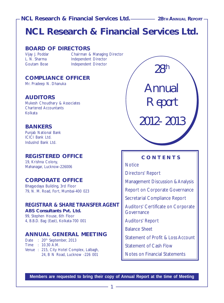# **NCL Research & Financial Services Ltd.**

# **BOARD OF DIRECTORS**

Vijay J. Poddar **Chairman & Managing Director**<br>
L. N. Sharma **Chairman Independent Director** Independent Director Goutam Bose **Independent Director** 

# **COMPLIANCE OFFICER**

Mr. Pradeep N. Dhanuka

# **AUDITORS**

Mukesh Choudhary & Associates Chartered Accountants Kolkata

# **BANKERS**

Punjab National Bank ICICI Bank Ltd. IndusInd Bank Ltd.

# **REGISTERED OFFICE**

19, Krishna Colony, Mahanagar, Lucknow-226006

# **CORPORATE OFFICE**

Bhagyodaya Building, 3rd Floor 79, N. M. Road, Fort, Mumbai-400 023

#### **REGISTRAR & SHARE TRANSFER AGENT ABS Consultants Pvt. Ltd.**

99, Stephen House, 6th Floor 4, B.B.D. Bag (East), Kolkata-700 001

# **ANNUAL GENERAL MEETING**

Date : 20<sup>th</sup> September, 2013 Time : 10.30 A.M. Venue : 215, City Hotel Complex, Lalbagh, 24, B N Road, Lucknow -226 001

28th *Annual* Report 2012- 2013

# **CONTENTS**

**Notice** 

Directors' Report

Management Discussion & Analysis

Report on Corporate Governance

Secretarial Compliance Report

Auditors' Certificate on Corporate **Governance** 

Auditors' Report

Balance Sheet

Statement of Profit & Loss Account

Statement of Cash Flow

Notes on Financial Statements

**Members are requested to bring their copy of Annual Report at the time of Meeting**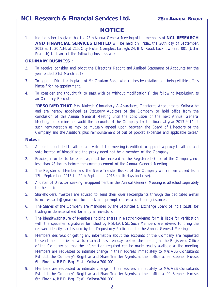# **NOTICE**

1. Notice is hereby given that the 28th Annual General Meeting of the members of **NCL RESEARCH AND FINANCIAL SERVICES LIMITED** will be held on Friday, the 20th day of September, 2013 at 10.30 A.M. at 215, City Hotel Complex, Lalbagh, 24, B N Road, Lucknow -226 001 (Uttar Pradesh) to transact the following business as :

#### **ORDINARY BUSINESS :**

- 2. To receive, consider and adopt the Directors' Report and Audited Statement of Accounts for the year ended 31st March 2013.
- 3. To appoint Director in place of Mr. Goutam Bose, who retires by rotation and being eligible offers himself for re-appointment.
- 4. To consider and thought fit, to pass, with or without modification(s), the following Resolution, as an Ordinary Resolution:

**"RESOLVED THAT** M/s. Mukesh Choudhary & Associates, Chartered Accountants, Kolkata be and are hereby appointed as Statutory Auditors of the Company to hold office from the conclusion of this Annual General Meeting until the conclusion of the next Annual General Meeting, to examine and audit the accounts of the Company for the financial year 2013-2014, at such remuneration as may be mutually agreed upon between the Board of Directors of the Company and the Auditors plus reimbursement of out of pocket expenses and applicable taxes."

#### **Notes :**

- 1. A member entitled to attend and vote at the meeting is entitled to appoint a proxy to attend and vote instead of himself and the proxy need not be a member of the Company.
- 2. Proxies, in order to be effective, must be received at the Registered Office of the Company, not less than 48 hours before the commencement of the Annual General Meeting.
- 3. The Register of Member and the Share Transfer Books of the Company will remain closed from 13th September 2013 to 20th September 2013 (both days inclusive).
- 4. A detail of Director seeking re-appointment in this Annual General Meeting is attached separately to the notice.
- 5. Shareholders/Investors are advised to send their queries/complaints through the dedicated e-mail Id ncl.research@gmail.com for quick and prompt redressal of their grievances.
- 6. The Shares of the Company are mandated by the Securities & Exchange Board of India (SEBI) for trading in dematerialized form by all investors.
- 7. The identity/signature of Members holding shares in electronic/demat form is liable for verification with the specimen signatures furnished by NSDL/CDSL. Such Members are advised to bring the relevant identity card issued by the Depository Participant to the Annual General Meeting.
- 8. Members desirous of getting any information about the accounts of the Company, are requested to send their queries so as to reach at-least ten days before the meeting at the Registered Office of the Company, so that the information required can be made readily available at the meeting. Members are requested to intimate change in their address immediately to M/s ABS Consultants Pvt. Ltd., the Company's Registrar and Share Transfer Agents, at their office at 99, Stephen House, 6th Floor, 4, B.B.D. Bag (East), Kolkata-700 001.
- 9. Members are requested to intimate change in their address immediately to M/s ABS Consultants Pvt. Ltd., the Company's Registrar and Share Transfer Agents, at their office at 99, Stephen House, 6th Floor, 4, B.B.D. Bag (East), Kolkata-700 001.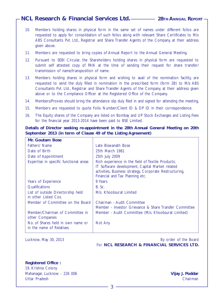- 10. Members holding shares in physical form in the same set of names under different folios are requested to apply for consolidation of such folios along with relevant Share Certificates to M/s ABS Consultants Pvt. Ltd., Registrar and Share Transfer Agents of the Company, at their address given above.
- 11. Members are requested to bring copies of Annual Report to the Annual General Meeting.
- 12. Pursuant to SEBI Circular, the Shareholders holding shares in physical form are requested to submit self attested copy of PAN at the time of sending their request for share transfer/ transmission of name/transposition of name.
- 13. Members holding shares in physical form and wishing to avail of the nomination facility, are requested to send the duly filled in nomination in the prescribed form (form 2B) to M/s ABS Consultants Pvt. Ltd., Registrar and Share Transfer Agents of the Company, at their address given above or to the Compliance Officer at the Registered Office of the Company.
- 14. Members/Proxies should bring the attendance slip duly filed in and signed for attending the meeting.
- 15. Members are requested to quote Folio Number/Client ID & DP ID in their correspondence.
- 16. The Equity shares of the Company are listed on Bombay and UP Stock Exchanges and Listing Fees for the financial year 2013-2014 have been paid to BSE Limited.

**Details of Director seeking re-appointment in the 28th Annual General Meeting on 20th September 2013 (in term of Clause 49 of the Listing Agreement)**

| Mr. Goutam Bose                                               |                                                                                                                                                                                                    |
|---------------------------------------------------------------|----------------------------------------------------------------------------------------------------------------------------------------------------------------------------------------------------|
| Fathers' Name                                                 | Late Biswanath Bose                                                                                                                                                                                |
| Date of Birth                                                 | 25th March 1981                                                                                                                                                                                    |
| Date of Appointment                                           | 25th July 2009                                                                                                                                                                                     |
| Expertise in specific functional areas                        | Rich experience in the field of Textile Products;<br>IT Software development, Capital Market related<br>activities, Business strategy, Corporate Restructuring,<br>Financial and Tax Planning etc. |
| Years of Experience                                           | 9 Years                                                                                                                                                                                            |
| <b>Oualifications</b>                                         | B. Sc.                                                                                                                                                                                             |
| List of outside Directorship held<br>in other Listed Cos.     | M/s. Khoobsurat Limited                                                                                                                                                                            |
| Member of Committee on the Board                              | Chairman - Audit Committee<br>Member - Investor Grievance & Share Transfer Committee                                                                                                               |
| Member/Chairman of Committee in<br>other Companies            | Member - Audit Committee (M/s. Khoobsurat Limited)                                                                                                                                                 |
| No. of Shares held in own name or<br>in the name of Relatives | Not Any                                                                                                                                                                                            |

Lucknow, May 30, 2013 **By order of the Board** For **NCL RESEARCH & FINANCIAL SERVICES LTD.**

**Registered Office :** 19, Krishna Colony Mahanagar, Lucknow - 226 006 **Vijay J. Poddar** Uttar Pradesh Chairman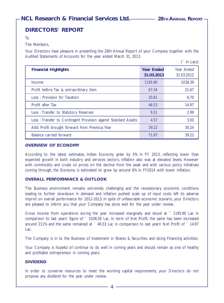$($  in Lacc $)$ 

# **DIRECTORS' REPORT**

To

#### The Members,

Your Directors have pleasure in presenting the 28th Annual Report of your Company together with the Audited Statements of Accounts for the year ended March 31, 2013.

|                                                                |                                 | $III$ Lacs               |
|----------------------------------------------------------------|---------------------------------|--------------------------|
| <b>Financial Highlights</b>                                    | <b>Year Ended</b><br>31.03.2013 | Year Ended<br>31.03.2012 |
| Income                                                         | 1195.90                         | 1038.39                  |
| Profit before Tax & extraordinary item                         | 67.34                           | 21.67                    |
| Less: Provision for Taxation                                   | 20.81                           | 6.70                     |
| Profit after Tax                                               | 46.53                           | 14.97                    |
| Less: Transfer to Statutory Reserves                           | 9.31                            | 2.99                     |
| Less: Transfer to Contingent Provision against Standard Assets | 4.57                            | 3.00                     |
| Add: Profit brought forward from Previous Year                 | 39.22                           | 30.24                    |
| Balance carried forward                                        | 71.87                           | 39.22                    |

#### **OVERVIEW OF ECONOMY**

According to the latest estimates, Indian Economy grew by 5% in FY 2013, reflecting lower than expected growth in both industry and services sectors. Inflation also was at elevated levels. However with commodity and crude oil prices on the decline from the peak and with various policy initiatives coming through, the Economy is estimated to grow by around 6% in FY2014 with lower Inflation.

#### **OVERALL PERFORMANCE & OUTLOOK**

The Business environment remains extremely challenging and the recessionary economic conditions leading to further slowdown in demand and inflation pushed scale up of input costs left its adverse imprint on overall performance for 2012-2013. In spite of unfavorable economic scenario, your Directors are pleased to inform you that your Company has done well for the year under review.

Gross income from operations during the year increased marginally and stood at ` 1195.90 Lac in comparison to last years' figure of ` 1038.39 Lac. In term of Net Profit, the same has been increased around 211% and the same remained at  $\degree$  46.53 Lac in comparison to last years' Net Profit of  $\degree$  14.97 Lac.

The Company is in to the Business of Investment in Shares & Securities and doing Financing activities.

Your Company is hopeful of continue to do well in coming years and should remain as one of healthy and profitable entrepreneur in coming years.

#### **DIVIDEND**

In order to conserve resources to meet the working capital requirements, your Directors do not propose any dividend for the year under review.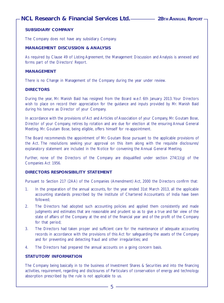#### **SUBSIDIARY COMPANY**

The Company does not have any subsidiary Company.

#### **MANAGEMENT DISCUSSION & ANALYSIS**

As required by Clause 49 of Listing Agreement, the Management Discussion and Analysis is annexed and forms part of the Directors' Report.

#### **MANAGEMENT**

There is no Change in Management of the Company during the year under review.

#### **DIRECTORS**

During the year, Mr. Manish Baid has resigned from the Board w.e.f. 6th January 2013. Your Directors wish to place on record their appreciation for the guidance and inputs provided by Mr. Manish Baid during his tenure as Director of your Company.

In accordance with the provisions of Act and Articles of Association of your Company, Mr. Goutam Bose, Director of your Company, retires by rotation and are due for election at the ensuring Annual General Meeting. Mr. Goutam Bose, being eligible, offers himself for re-appointment.

The Board recommends the appointment of Mr. Goutam Bose pursuant to the applicable provisions of the Act. The resolutions seeking your approval on this item along with the requisite disclosures/ explanatory statement are included in the Notice for convening the Annual General Meeting.

Further, none of the Directors of the Company are disqualified under section 274(1)(g) of the Companies Act 1956.

#### **DIRECTORS RESPONSIBILITY STATEMENT**

Pursuant to Section 217 (2AA) of the Companies (Amendment) Act, 2000 the Directors confirm that:

- 1. In the preparation of the annual accounts, for the year ended 31st March 2013, all the applicable accounting standards prescribed by the Institute of Chartered Accountants of India have been followed;
- 2. The Directors had adopted such accounting policies and applied them consistently and made judgments and estimates that are reasonable and prudent so as to give a true and fair view of the state of affairs of the Company at the end of the financial year and of the profit of the Company for that period;
- 3. The Directors had taken proper and sufficient care for the maintenance of adequate accounting records in accordance with the provisions of this Act for safeguarding the assets of the Company and for preventing and detecting fraud and other irregularities; and
- 4. The Directors had prepared the annual accounts on a going concern basis.

#### **STATUTORY INFORMATION**

The Company being basically in to the business of Investment Shares & Securities and into the financing activities, requirement, regarding and disclosures of Particulars of conservation of energy and technology absorption prescribed by the rule is not applicable to us.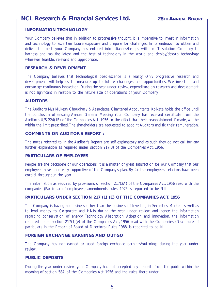#### **INFORMATION TECHNOLOGY**

Your Company believes that in addition to progressive thought, it is imperative to invest in information and technology to ascertain future exposure and prepare for challenges. In its endeavor to obtain and deliver the best, your Company has entered into alliances/tie-ups with an IT solution Company to harness and tap the latest and the best of technology in the world and deploy/absorb technology wherever feasible, relevant and appropriate.

#### **RESEARCH & DEVELOPMENT**

The Company believes that technological obsolescence is a reality. Only progressive research and development will help us to measure up to future challenges and opportunities. We invest in and encourage continuous innovation. During the year under review, expenditure on research and development is not significant in relation to the nature size of operations of your Company.

#### **AUDITORS**

The Auditors M/s Mukesh Choudhary & Associates, Chartered Accountants, Kolkata holds the office until the conclusion of ensuing Annual General Meeting. Your Company has received certificate from the Auditors U/S 224(1B) of the Companies Act, 1956 to the effect that their reappointment if made, will be within the limit prescribed. The shareholders are requested to appoint Auditors and fix their remuneration.

#### **COMMENTS ON AUDITOR'S REPORT :**

The notes referred to in the Auditor's Report are self explanatory and as such they do not call for any further explanation as required under section 217(3) of the Companies Act, 1956.

#### **PARTICULARS OF EMPLOYEES**

People are the backbone of our operations. It is a matter of great satisfaction for our Company that our employees have been very supportive of the Company's plan. By far the employee's relations have been cordial throughout the year.

The information as required by provisions of section 217(2A) of the Companies Act, 1956 read with the companies (Particular of employees) amendments rules, 1975 is reported to be NIL.

#### **PARTICULARS UNDER SECTION 217 (1) (E) OF THE COMPANIES ACT, 1956**

The Company is having no business other than the business of Investing in Securities Market as well as to lend money to Corporate and HNIs during the year under review and hence the information regarding conservation of energy, Technology Absorption, Adoption and innovation, the information required under section 217(1)(e) of the Companies Act, 1956 read with the Companies (Disclosure of particulars in the Report of Board of Directors) Rules 1988, is reported to be NIL.

#### **FOREIGN EXCHANGE EARNINGS AND OUTGO**

The Company has not earned or used foreign exchange earnings/outgoings during the year under review.

#### **PUBLIC DEPOSITS**

During the year under review, your Company has not accepted any deposits from the public within the meaning of section 58A of the Companies Act 1956 and the rules there under.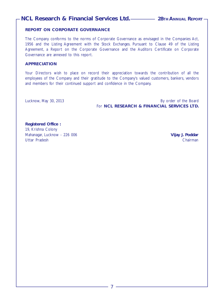#### **REPORT ON CORPORATE GOVERNANCE**

The Company conforms to the norms of Corporate Governance as envisaged in the Companies Act, 1956 and the Listing Agreement with the Stock Exchanges. Pursuant to Clause 49 of the Listing Agreement, a Report on the Corporate Governance and the Auditors Certificate on Corporate Governance are annexed to this report.

#### **APPRECIATION**

Your Directors wish to place on record their appreciation towards the contribution of all the employees of the Company and their gratitude to the Company's valued customers, bankers, vendors and members for their continued support and confidence in the Company.

Lucknow, May 30, 2013 By order of the Board For **NCL RESEARCH & FINANCIAL SERVICES LTD.**

**Registered Office :** 19, Krishna Colony Mahanagar, Lucknow - 226 006 **Vijay J. Poddar** Uttar Pradesh Chairman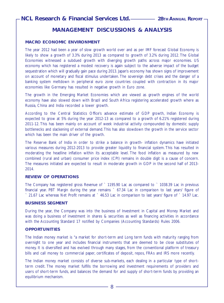# **MANAGEMENT DISCUSSIONS & ANALYSIS**

#### **MACRO ECONOMIC ENVIRONMENT**

The year 2012 had been a year of slow growth world over and as per IMF forecast Global Economy is likely to show a growth of 3.3% during 2013 as compared to growth of 3.2% during 2012. The Global Economies witnessed a subdued growth with diverging growth paths across major economies. US economy which has registered a modest recovery is again subject to the adverse impact of the budget sequestration which will gradually gain pace during 2013. Japan's economy has shown signs of improvement on account of monetary and fiscal stimulus undertaken. The sovereign debt crises and the danger of a banking system meltdown in peripheral euro zone countries coupled with contraction in its major economies like Germany has resulted in negative growth in Euro zone.

The growth in the Emerging Market Economies which are viewed as growth engines of the world economy have also slowed down with Brazil and South Africa registering accelerated growth where as Russia, China and India recorded a lower growth.

According to the Central Statistics Office's advance estimate of GDP growth, Indian Economy is expected to grow at 5% during the year 2012-13 as compared to a growth of 6.21% registered during 2011-12. This has been mainly on account of week industrial activity compounded by domestic supply bottlenecks and slackening of external demand. This has also slowdown the growth in the service sector which has been the main driver of the growth.

The Reserve Bank of India in order to strike a balance in growth- inflation dynamics have initiated various measures during 2012-2013 to provide greater liquidity to financial system. This has resulted in moderating the headline inflation within its acceptable level. The food inflation as measured by new combined (rural and urban) consumer price index (CPI) remains in double digit is a cause of concern. The measures initiated are expected to result in moderate growth in GDP in the second half of 2013- 2014.

#### **REVIEW OF OPERATIONS**

The Company has registered gross Revenue of ` 1195.90 Lac as compared to ` 1038.39 Lac in previous financial year. PBT Margin during the year remains ` 67.34 Lac in comparison to last years' figure of ` 21.67 Lac whereas Net Profit remains at ` 46.53 Lac in comparison to last years' figure of ` 14.97 Lac.

#### **BUSINESS SEGMENT**

During the year, the Company was into the business of Investment in Capital and Money Market and was doing a business of investment in shares & securities as well as financing activities in accordance with the Accounting Standard 17 notified by Companies (Accounting Standards) Rules 2006.

#### **OPPORTUNITIES**

The Indian money market is "a market for short-term and Long term funds with maturity ranging from overnight to one year and includes financial instruments that are deemed to be close substitutes of money. It is diversified and has evolved through many stages, from the conventional platform of treasury bills and call money to commercial paper, certificates of deposit, repos, FRAs and IRS more recently.

The Indian money market consists of diverse sub-markets, each dealing in a particular type of shortterm credit. The money market fulfills the borrowing and investment requirements of providers and users of short-term funds, and balances the demand for and supply of short-term funds by providing an equilibrium mechanism.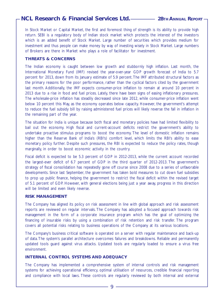In Stock Market or Capital Market, the first and foremost thing of strength is its ability to provide high return. SEBI is a regulatory body of Indian stock market which protects the interest of the investors which is an added benefit of Stock Market. Large number of securities which provides medium for investment and thus people can make money by way of investing wisely in Stock Market. Large numbers of Brokers are there in Market who plays a role of facilitator for investment.

#### **THREATS & CONCERNS**

The Indian economy is caught between low growth and stubbornly high inflation. Last month, the International Monetary Fund (IMF) revised the year-over-year GDP growth forecast of India to 5.7 percent for 2013, down from its January estimate of 5.9 percent. The IMF attributed structural factors as the primary reasons for the poor performance, rather than the cyclical factors cited by the government last month. Additionally, the IMF expects consumer-price inflation to remain at around 10 percent in 2013 due to a rise in food and fuel prices. Lately, there have been signs of easing inflationary pressures. The wholesale-price inflation has steadily decreased since late 2012, while consumer-price inflation went below 10 percent this May, as the economy operates below capacity. However, the government's attempt to reduce the fuel subsidy bill by raising administered fuel prices will likely reverse the fall in inflation in the remaining part of the year.

The situation for India is unique because both fiscal and monetary policies have had limited flexibility to bail out the economy. High fiscal and current-account deficits restrict the government's ability to undertake proactive stimulus programs to boost the economy. The level of domestic inflation remains higher than the Reserve Bank of India's (RBI's) comfort level, which limits the RBI's ability to ease monetary policy further. Despite such pressures, the RBI is expected to reduce the policy rates, though marginally, in order to boost economic activity in the country.

Fiscal deficit is expected to be 5.3 percent of GDP in 2012-2013, while the current account recorded the largest-ever deficit of 6.7 percent of GDP in the third quarter of 2012-2013. The government's strategy of fiscal consolidation has repeatedly gone off course since 2008 due to a series of unfavorable developments. Since last September, the government has taken bold measures to cut down fuel subsidies to prop up public finance, helping the government to restrict the fiscal deficit within the revised target of 5.1 percent of GDP. However, with general elections being just a year away, progress in this direction will be limited and even likely reverse.

#### **RISK MANAGEMENT**

The Company has aligned its policy on risk assessment in line with global approach and risk assessment reports are reviewed on regular intervals. The Company has adopted a focused approach towards risk management in the form of a corporate insurance program which has the goal of optimizing the financing of insurable risks by using a combination of risk retention and risk transfer. The program covers all potential risks relating to business operations of the Company at its various locations.

The Company's business critical software is operated on a server with regular maintenance and back-up of data. The system's parallel architecture overcomes failures and breakdowns. Reliable and permanently updated tools guard against virus attacks. Updated tools are regularly loaded to ensure a virus free environment.

#### **INTERNAL CONTROL SYSTEMS AND ADEQUACY**

The Company has implemented a comprehensive system of internal controls and risk management systems for achieving operational efficiency, optimal utilisation of resources, credible financial reporting and compliance with local laws. These controls are regularly reviewed by both internal and external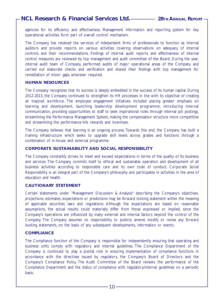agencies for its efficiency and effectiveness. Management information and reporting system for key operational activities form part of overall control mechanism.

The Company has retained the services of independent firms of professionals to function as internal auditors and provide reports on various activities covering observations on adequacy of internal controls and their recommendations. Findings of internal audit reports and effectiveness of internal control measures are reviewed by top management and audit committee of the Board. During the year, internal audit team of Company performed audits of major operational areas of the Company and carried out elaborate checks and verification and shared their findings with top management for remediation of minor gaps wherever required.

#### **HUMAN RESOURCES**

The Company recognizes that its success is deeply embedded in the success of its human capital. During 2012-2013, the Company continued to strengthen its HR processes in line with its objective of creating an inspired workforce. The employee engagement initiatives included placing greater emphasis on learning and development, launching leadership development programme, introducing internal communication, providing opportunities to staff to seek inspirational roles through internal job postings, streamlining the Performance Management System, making the compensation structure more competitive and streamlining the performance-link rewards and incentives.

The Company believes that learning is an ongoing process. Towards this end, the Company has built a training infrastructure which seeks to upgrade skill levels across grades and functions through a combination of in-house and external programme.

#### **CORPORATE SUSTAINABILITY AND SOCIAL RESPONSIBILITY**

The Company constantly strives to meet and exceed expectations in terms of the quality of its business and services. The Company commits itself to ethical and sustainable operation and development of all business activities according to responsible care and its own code of conduct. Corporate Social Responsibility is an integral part of the Company's philosophy and participates in activities in the area of education and health.

#### **CAUTIONARY STATEMENT**

Certain statements under "Management Discussion & Analysis" describing the Company's objectives, projections, estimates, expectations or predictions may be forward looking statement within the meaning of applicable securities laws and regulations. Although the expectations are based on reasonable assumptions, the actual results could materially differ from those expressed or implied, since the Company's operations are influenced by many external and internal factors beyond the control of the Company. The Company assumes no responsibility to publicly amend, modify or revise any forward looking statements, on the basis of any subsequent developments, information or events.

#### **COMPLIANCE**

The Compliance function of the Company is responsible for independently ensuring that operating and business units comply with regulatory and internal guidelines. The Compliance Department of the Company is continued to play a pivotal role in ensuring implementation of compliance functions in accordance with the directives issued by regulators, the Company's Board of Directors and the Company's Compliance Policy. The Audit Committee of the Board reviews the performance of the Compliance Department and the status of compliance with regulatory/internal guidelines on a periodic basis.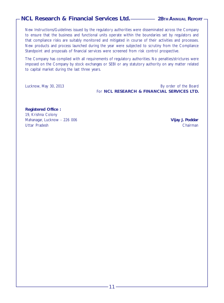New Instructions/Guidelines issued by the regulatory authorities were disseminated across the Company to ensure that the business and functional units operate within the boundaries set by regulators and that compliance risks are suitably monitored and mitigated in course of their activities and processes. New products and process launched during the year were subjected to scrutiny from the Compliance Standpoint and proposals of financial services were screened from risk control prospective.

The Company has complied with all requirements of regulatory authorities. No penalties/strictures were imposed on the Company by stock exchanges or SEBI or any statutory authority on any matter related to capital market during the last three years.

Lucknow, May 30, 2013 By order of the Board For **NCL RESEARCH & FINANCIAL SERVICES LTD.**

**Registered Office :** 19, Krishna Colony Mahanagar, Lucknow - 226 006 **Vijay J. Poddar** Uttar Pradesh Chairman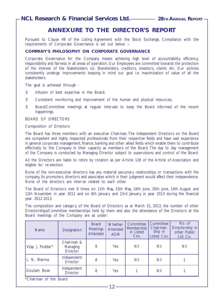# **ANNEXURE TO THE DIRECTOR'S REPORT**

Pursuant to Clause 49 of the Listing Agreement with the Stock Exchange, Compliance with the requirements of Corporate Governance is set out below :-

#### **COMPANY'S PHILOSOPHY ON CORPORATE GOVERNANCE**

Corporate Governance for the Company means achieving high level of accountability, efficiency, responsibility and fairness in all areas of operation. Our Employees are committed towards the protection of the interest of the Stakeholders viz. Shareholders, creditors, investors, clients etc. Our policies consistently undergo improvements keeping in mind our goal i.e. maximization of value of all the stakeholders.

The goal is achieved through -

- 3 Infusion of best expertise in the Board;
- 3 Consistent monitoring and improvement of the human and physical resources;
- 3 Board/Committee meetings at regular intervals to keep the Board informed of the recent happenings.

BOARD OF DIRECTORS

#### Composition of Directors

The Board has three members with an executive Chairman. The Independent Directors on the Board are competent and highly respected professionals from their respective fields and have vast experience in general corporate management, finance, banking and other allied fields which enable them to contribute effectively to the Company in their capacity as members of the Board. The day to day management of the Company is conducted by Managing Director subject to supervisions and control of the Board.

All the Directors are liable to retire by rotation as per Article 128 of the Article of Association and eligible for re-election.

None of the non-executive directors has any material pecuniary relationships or transactions with the company, its promoters, directors and associates which in their judgment would affect their independence. None of the directors are inter-se related to each other.

The Board of Directors met 8 times on 11th May, 15th May, 16th June, 30th June, 14th August and 12th November in year 2012 and on 6th January and 23rd January in year 2013 during the financial year 2012-2013.

The composition and category of the Board of Directors as at March 31, 2013, the number of other Directorships/Committee memberships held by them and also the attendance of the Directors at the Board meetings of the Company are as under:

| <b>Name</b>            | <b>Designation</b>                        | <b>Board</b><br><b>Meetings</b><br><b>Attended</b> | Whether<br>Attended<br><b>AGM</b> | Committee<br>Membership<br>in Listed<br>Cos. | Committee<br>Chairman-<br>Ship in<br>Listed Cos. | No. of<br>Directorship in<br>other Public<br>Ltd. Co. |
|------------------------|-------------------------------------------|----------------------------------------------------|-----------------------------------|----------------------------------------------|--------------------------------------------------|-------------------------------------------------------|
| Vijay J. Poddar*       | Chairman &<br>Managing<br><b>Director</b> | 8                                                  | Yes                               | Nil                                          | Nil                                              | Nil                                                   |
| L. N. Sharma           | Independent<br><b>Director</b>            | 8                                                  | Yes                               | Nil                                          | Nil                                              |                                                       |
| Goutam Bose            | Independent<br><b>Director</b>            | 8                                                  | Yes                               |                                              | Nil                                              |                                                       |
| *Chairman of the Board |                                           |                                                    |                                   |                                              |                                                  |                                                       |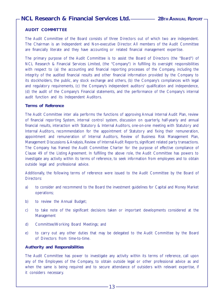#### **AUDIT COMMITTEE**

The Audit Committee of the Board consists of three Directors out of which two are independent. The Chairman is an Independent and Non-executive Director. All members of the Audit Committee are financially literate and they have accounting or related financial management expertise.

The primary purpose of the Audit Committee is to assist the Board of Directors (the "Board") of NCL Research & Financial Services Limited, (the "Company") in fulfilling its oversight responsibilities with respect to (a) the accounting and financial reporting processes of the Company, including the integrity of the audited financial results and other financial information provided by the Company to its stockholders, the public, any stock exchange and others, (b) the Company's compliances with legal and regulatory requirements, (c) the Company's independent auditors' qualification and independence, (d) the audit of the Company's Financial statements, and the performance of the Company's internal audit function and its Independent Auditors.

#### **Terms of Reference**

The Audit Committee inter alia performs the functions of approving Annual Internal Audit Plan, review of financial reporting System, internal control system, discussion on quarterly, half-yearly and annual financial results, interaction with Statutory & Internal Auditors, one-on-one meeting with Statutory and Internal Auditors, recommendation for the appointment of Statutory and fixing their remuneration, appointment and remuneration of Internal Auditors, Review of Business Risk Management Plan, Management Discussions & Analysis, Review of Internal Audit Reports, significant related party transactions. The Company has framed the Audit Committee Charter for the purpose of effective compliance of Clause 49 of the Listing Agreement. In fulfilling the above role, the Audit Committee has powers to investigate any activity within its terms of reference, to seek information from employees and to obtain outside legal and professional advice.

Additionally, the following terms of reference were issued to the Audit Committee by the Board of Directors:

- a) to consider and recommend to the Board the investment guidelines for Capital and Money Market operations;
- b) to review the Annual Budget;
- c) to take note of the significant decisions taken or important developments considered at the Management
- d) Committee/Working Board Meetings; and
- e) to carry out any other duties that may be delegated to the Audit Committee by the Board of Directors from time-to-time.

#### **Authority and Responsibilities**

The Audit Committee has power to investigate any activity within its terms of reference, call upon any of the Employees of the Company, to obtain outside legal or other professional advice as and when the same is being required and to secure attendance of outsiders with relevant expertise, if it considers necessary.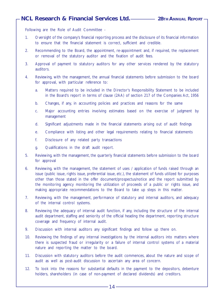Following are the Role of Audit Committee -

- 1. Oversight of the company's financial reporting process and the disclosure of its financial information to ensure that the financial statement is correct, sufficient and credible.
- 2. Recommending to the Board, the appointment, re-appointment and, if required, the replacement or removal of the statutory auditor and the fixation of audit fees.
- 3. Approval of payment to statutory auditors for any other services rendered by the statutory auditors.
- 4. Reviewing, with the management, the annual financial statements before submission to the board for approval, with particular reference to:
	- a. Matters required to be included in the Director's Responsibility Statement to be included in the Board's report in terms of clause (2AA) of section 217 of the Companies Act, 1956
	- b. Changes, if any, in accounting policies and practices and reasons for the same
	- c. Major accounting entries involving estimates based on the exercise of judgment by management
	- d. Significant adjustments made in the financial statements arising out of audit findings
	- e. Compliance with listing and other legal requirements relating to financial statements
	- f. Disclosure of any related party transactions
	- g. Qualifications in the draft audit report.
- 5. Reviewing, with the management, the quarterly financial statements before submission to the board for approval
- 6. Reviewing, with the management, the statement of uses / application of funds raised through an issue (public issue, rights issue, preferential issue, etc.), the statement of funds utilized for purposes other than those stated in the offer document/prospectus/notice and the report submitted by the monitoring agency monitoring the utilization of proceeds of a public or rights issue, and making appropriate recommendations to the Board to take up steps in this matter.
- 7. Reviewing, with the management, performance of statutory and internal auditors, and adequacy of the internal control systems.
- 8. Reviewing the adequacy of internal audit function, if any, including the structure of the internal audit department, staffing and seniority of the official heading the department, reporting structure coverage and frequency of internal audit.
- 9. Discussion with internal auditors any significant findings and follow up there on.
- 10. Reviewing the findings of any internal investigations by the internal auditors into matters where there is suspected fraud or irregularity or a failure of internal control systems of a material nature and reporting the matter to the board.
- 11. Discussion with statutory auditors before the audit commences, about the nature and scope of audit as well as post-audit discussion to ascertain any area of concern.
- 12. To look into the reasons for substantial defaults in the payment to the depositors, debenture holders, shareholders (in case of non-payment of declared dividends) and creditors.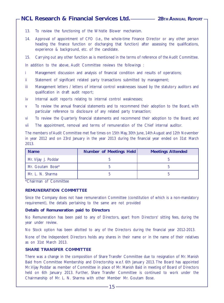- 13. To review the functioning of the Whistle Blower mechanism.
- 14. Approval of appointment of CFO (i.e., the whole-time Finance Director or any other person heading the finance function or discharging that function) after assessing the qualifications, experience & background, etc. of the candidate.

15. Carrying out any other function as is mentioned in the terms of reference of the Audit Committee.

In addition to the above, Audit Committee reviews the followings :

- i Management discussion and analysis of financial condition and results of operations;
- ii Statement of significant related party transactions submitted by management;
- iii Management letters / letters of internal control weaknesses issued by the statutory auditors and qualification in draft audit report;
- iv Internal audit reports relating to internal control weaknesses;
- v To review the annual financial statements and to recommend their adoption to the Board, with particular reference to disclosure of any related party transaction;
- vi To review the Quarterly financial statements and recommend their adoption to the Board; and
- vii The appointment, removal and terms of remuneration of the Chief internal auditor.

The members of Audit Committee met five times on 15th May, 30th June, 14th August and 12th November in year 2012 and on 23rd January in the year 2013 during the financial year ended on 31st March 2013.

| <b>Name</b>         | Number of Meetings Held | <b>Meetings Attended</b> |
|---------------------|-------------------------|--------------------------|
| Mr. Vijay J. Poddar |                         |                          |
| Mr. Goutam Bose*    |                         |                          |
| Mr. L. N. Sharma    |                         |                          |

\*Chairman of Committee

#### **REMUNERATION COMMITTEE**

Since the Company does not have remuneration Committee (constitution of which is a non-mandatory requirement), the details pertaining to the same are not provided

#### **Details of Remuneration paid to Directors**

No Remuneration has been paid to any of Directors, apart from Directors' sitting fees, during the year under review.

No Stock option has been allotted to any of the Directors during the financial year 2012-2013.

None of the Independent Directors holds any shares in their name or in the name of their relatives as on 31st March 2013.

#### **SHARE TRANSFER COMMITTEE**

There was a change in the composition of Share Transfer Committee due to resignation of Mr. Manish Baid from Committee Membership and Directorship w.e.f. 6th January 2013. The Board has appointed Mr. Vijay Poddar as member of Committee in place of Mr. Manish Baid in meeting of Board of Directors held on 6th January 2013. Further, Share Transfer Committee is continued to work under the Chairmanship of Mr. L. N. Sharma with other Member Mr. Goutam Bose.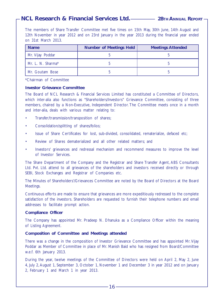The members of Share Transfer Committee met five times on 15th May, 30th June, 14th August and 12th November in year 2012 and on 23rd January in the year 2013 during the financial year ended on 31st March 2013.

| <b>Name</b>       | <b>Number of Meetings Held</b> | <b>Meetings Attended</b> |
|-------------------|--------------------------------|--------------------------|
| Mr. Vijay Poddar  |                                |                          |
| Mr. L. N. Sharma* |                                |                          |
| Mr. Goutam Bose   |                                |                          |

\*Chairman of Committee

#### **Investor Grievance Committee**

The Board of NCL Research & Financial Services Limited has constituted a Committee of Directors, which inter-alia also functions as "Shareholders/Investors" Grievance Committee, consisting of three members, chaired by a Non-Executive, Independent Director. The Committee meets once in a month and inter-alia, deals with various matter relating to:

- Transfer/transmission/transposition of shares;
- Consolidation/splitting of shares/folios;
- Issue of Share Certificates for lost, sub-divided, consolidated, rematerialize, defaced etc;
- Review of Shares dematerialized and all other related matters; and
- Investors' grievances and redressal mechanism and recommend measures to improve the level of Investor Services.

The Share Department of the Company and the Registrar and Share Transfer Agent, ABS Consultants Ltd. Pvt. Ltd. attend to all grievances of the shareholders and investors received directly or through SEBI, Stock Exchanges and Registrar of Companies etc.

The Minutes of Shareholders'/Grievances Committee are noted by the Board of Directors at the Board Meetings.

Continuous efforts are made to ensure that grievances are more expeditiously redressed to the complete satisfaction of the investors. Shareholders are requested to furnish their telephone numbers and email addresses to facilitate prompt action.

#### **Compliance Officer**

The Company has appointed Mr. Pradeep N. Dhanuka as a Compliance Officer within the meaning of Listing Agreement.

#### **Composition of Committee and Meetings attended**

There was a change in the composition of Investor Grievance Committee and has appointed Mr. Vijay Poddar as Member of Committee in place of Mr. Manish Baid who has resigned from Board/Committee w.e.f. 6th January 2013.

During the year, twelve meetings of the Committee of Directors were held on April 2, May 2, June 4, July 2, August 1, September 3, October 1, November 1 and December 3 in year 2012 and on January 2, February 1 and March 1 in year 2013.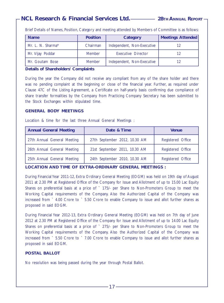Brief Details of Names, Position, Category and meeting attended by Members of Committee is as follows:

| <b>Name</b>       | <b>Position</b> | Category                   | <b>Meetings Attended</b> |
|-------------------|-----------------|----------------------------|--------------------------|
| Mr. L. N. Sharma* | Chairman        | Independent, Non-Executive | 12                       |
| Mr. Vijay Poddar  | <b>Member</b>   | Executive Director         | 12                       |
| Mr. Goutam Bose   | <b>Member</b>   | Independent, Non-Executive | 12                       |

#### **Details of Shareholders' Complaints**

During the year the Company did not receive any compliant from any of the share holder and there was no pending complaint at the beginning or close of the financial year. Further, as required under Clause 47C of the Listing Agreement, a Certificate on half-yearly basis confirming due compliance of share transfer formalities by the Company from Practicing Company Secretary has been submitted to the Stock Exchanges within stipulated time.

#### **GENERAL BODY MEETINGS**

Location & time for the last three Annual General Meetings :

| <b>Annual General Meeting</b> | Date & Time                   | <b>Venue</b>      |
|-------------------------------|-------------------------------|-------------------|
| 27th Annual General Meeting   | 27th September 2012, 10.30 AM | Registered Office |
| 26th Annual General Meeting   | 21st September 2011, 10.30 AM | Registered Office |
| 25th Annual General Meeting   | 24th September 2010, 10.30 AM | Registered Office |

**LOCATION AND TIME OF EXTRA-ORDINARY GENERAL MEETINGS :**

During Financial Year 2011-12, Extra Ordinary General Meeting (EOGM) was held on 19th day of August 2011 at 2.30 PM at Registered Office of the Company for Issue and Allotment of up to 15.00 Lac Equity Shares on preferential basis at a price of ` 175/- per Share to Non-Promoters Group to meet the Working Capital requirements of the Company. Also the Authorized Capital of the Company was increased from ` 4.00 Crore to ` 5.50 Crore to enable Company to issue and allot further shares as proposed in said EOGM.

During Financial Year 2012-13, Extra Ordinary General Meeting (EOGM) was held on 7th day of June 2012 at 2.30 PM at Registered Office of the Company for Issue and Allotment of up to 14.00 Lac Equity Shares on preferential basis at a price of ` 275/- per Share to Non-Promoters Group to meet the Working Capital requirements of the Company. Also the Authorized Capital of the Company was increased from ` 5.50 Crore to ` 7.00 Crore to enable Company to issue and allot further shares as proposed in said EOGM.

#### **POSTAL BALLOT**

No resolution was being passed during the year through Postal Ballot.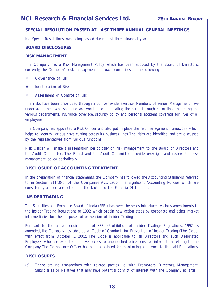#### **SPECIAL RESOLUTION PASSED AT LAST THREE ANNUAL GENERAL MEETINGS:**

No Special Resolutions was being passed during last three financial years.

#### **BOARD DISCLOSURES**

#### **RISK MANAGEMENT**

The Company has a Risk Management Policy which has been adopted by the Board of Directors, currently, the Company's risk management approach comprises of the following :-

- Governance of Risk
- **❖** Identification of Risk
- ◆ Assessment of Control of Risk

The risks have been prioritized through a companywide exercise. Members of Senior Management have undertaken the ownership and are working on mitigating the same through co-ordination among the various departments, insurance coverage, security policy and personal accident coverage for lives of all employees.

The Company has appointed a Risk Officer and also put in place the risk management framework, which helps to identify various risks cutting across its business lines. The risks are identified and are discussed by the representatives from various functions.

Risk Officer will make a presentation periodically on risk management to the Board of Directors and the Audit Committee. The Board and the Audit Committee provide oversight and review the risk management policy periodically.

#### **DISCLOSURE OF ACCOUNTING TREATMENT**

In the preparation of financial statements, the Company has followed the Accounting Standards referred to in Section 211(3)(c) of the Companies Act, 1956. The Significant Accounting Policies which are consistently applied are set out in the Notes to the Financial Statements.

#### **INSIDER TRADING**

The Securities and Exchange Board of India (SEBI) has over the years introduced various amendments to the Insider Trading Regulations of 1992 which ordain new action steps by corporate and other market intermediaries for the purposes of prevention of Insider Trading.

Pursuant to the above requirements of SEBI (Prohibition of Insider Trading) Regulations, 1992 as amended, the Company has adopted a `Code of Conduct` for Prevention of Insider Trading (The Code) with effect from October 1, 2002. The Code is applicable to all Directors and such Designated Employees who are expected to have access to unpublished price sensitive information relating to the Company. The Compliance Officer has been appointed for monitoring adherence to the said Regulations.

#### **DISCLOSURES**

(a) There are no transactions with related parties i.e. with Promoters, Directors, Management, Subsidiaries or Relatives that may have potential conflict of interest with the Company at large.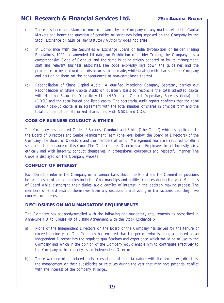- (b) There has been no instance of non-compliance by the Company on any matter related to Capital Markets and hence the question of penalties or strictures being imposed on the Company by the Stock Exchange or SEBI or any Statutory Authority does not arise.
- (c) In Compliance with the Securities & Exchange Board of India (Prohibition of Insider Trading Regulations, 1992) as amended till date, on Prohibition of Insider Trading, the Company has a comprehensive Code of Conduct and the same is being strictly adhered to by its management, staff and relevant business associates. The code expressly lays down the guidelines and the procedure to be followed and disclosures to be made, while dealing with shares of the Company and cautioning them on the consequences of non-compliance thereof.
- (d) Reconciliation of Share Capital Audit : A qualified Practicing Company Secretary carries out Reconciliation of Share Capital Audit on quarterly basis to reconcile the total admitted capital with National Securities Depository Ltd. (NSDL) and Central Depositary Services (India) Ltd. (CDSL) and the total issued and listed capital. The secretarial audit report confirms that the total issued / paid-up capital is in agreement with the total number of shares in physical form and the total number of dematerialized shares held with NSDL and CDSL.

#### **CODE OF BUSINESS CONDUCT & ETHICS**

The Company has adopted Code of Business Conduct and Ethics ("the Code") which is applicable to the Board of Directors and Senior Management Team (one level below the Board of Directors) of the Company. The Board of Directors and the members of Senior Management Team are required to affirm semi-annual compliance of this Code. The Code requires Directors and Employees to act honestly, fairly, ethically and with integrity, conduct themselves in professional, courteous and respectful manner. The Code is displayed on the Company website.

#### **CONFLICT OF INTEREST**

Each Director informs the Company on an annual basis about the Board and the Committee positions he occupies in other companies including Chairmanships and notifies changes during the year. Members of Board while discharging their duties, avoid conflict of interest in the decision making process. The members of Board restrict themselves from any discussions and voting in transactions that they have concern or interest.

#### **DISCLOSURES ON NON-MANDATORY REQUIREMENTS**

The Company has adopted/complied with the following non-mandatory requirements as prescribed in Annexure I D to Clause 49 of Listing Agreement with the Stock Exchange :-

- a) None of the Independent Directors on the Board of the Company has served for the tenure of exceeding nine years. The Company has ensured that the person who is being appointed as an Independent Director has the requisite qualifications and experience which would be of use to the Company and which in the opinion of the Company would enable him to contribute effectively to the Company in his capacity as an Independent Director.
- b) There were no other related party transactions of material nature with the promoters, directors, the management or their subsidiaries or relatives during the year that may have potential conflict with the interest of the company at large..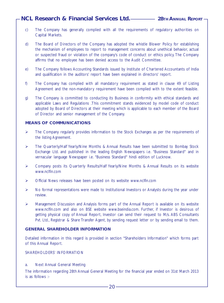- c) The Company has generally complied with all the requirements of regulatory authorities on Capital Markets.
- d) The Board of Directors of the Company has adopted the whistle Blower Policy for establishing the mechanism of employees to report to management concerns about unethical behavior, actual or suspected fraud or violation of the company's code of conduct or ethics policy. The Company affirms that no employee has been denied access to the Audit Committee.
- e) The Company follows Accounting Standards issued by Institute of Chartered Accountants of India and qualification in the auditors' report have been explained in directors' report.
- f) The Company has complied with all mandatory requirement as stated in clause 49 of Listing Agreement and the non-mandatory requirement have been complied with to the extent feasible.
- g) The Company is committed to conducting its Business in conformity with ethical standards and applicable Laws and Regulations .This commitment stands evidenced by model code of conduct adopted by Board of Directors at their meeting which is applicable to each member of the Board of Director and senior management of the Company.

#### **MEANS OF COMMUNICATIONS**

- $\triangleright$  The Company regularly provides information to the Stock Exchanges as per the requirements of the listing Agreement.
- $\triangleright$  The Quarterly/Half Yearly/Nine Months & Annual Results have been submitted to Bombay Stock Exchange Ltd. and published in the leading English Newspapers i.e. "Business Standard" and in vernacular language Newspaper i.e. "Business Standard" hindi edition of Lucknow.
- Company posts its Quarterly Results/Half Yearly/Nine Months & Annual Results on its website www.nclfin.com
- Official News releases have been posted on its website www.nclfin.com
- $\triangleright$  No formal representations were made to Institutional Investors or Analysts during the year under review.
- $\triangleright$  Management Discussion and Analysis forms part of the Annual Report is available on its website www.nclfin.com and also on BSE website www.bseindia.com. Further, if Investor is desirous of getting physical copy of Annual Report, Investor can send their request to M/s. ABS Consultants Pvt. Ltd., Registrar & Share Transfer Agent, by sending request letter or by sending email to them.

#### **GENERAL SHAREHOLDER INFORMATION**

Detailed information in this regard is provided in section "Shareholders Information" which forms part of this Annual Report.

SHAREHOLDERS' INFORMATION

a. Next Annual General Meeting

The information regarding 28th Annual General Meeting for the financial year ended on 31st March 2013 is as follows :-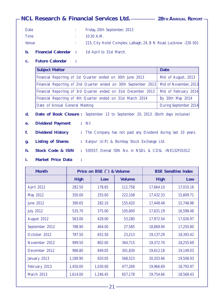|                                     | - NCL Research & Financial Services Ltd. ————— 28тн Аммидд Rерокт .                                                  |                       |
|-------------------------------------|----------------------------------------------------------------------------------------------------------------------|-----------------------|
| <b>Date</b><br><b>Time</b><br>Venue | Friday, 20th September, 2013<br>÷.<br>10.30 A.M.<br>215, City Hotel Complex, Lalbagh, 24, B N Road, Lucknow -226 001 |                       |
| $\mathbf b$ .                       | <b>Financial Calendar :</b><br>1st April to 31st March.                                                              |                       |
| C <sub>1</sub>                      | <b>Future Calendar</b>                                                                                               |                       |
|                                     | <b>Subject Matter</b>                                                                                                | <b>Date</b>           |
|                                     | Financial Reporting of 1st Quarter ended on 30th June 2013                                                           | Mid of August, 2013   |
|                                     | Financial Reporting of 2nd Quarter ended on 30th September 2013                                                      | Mid of November, 2013 |
|                                     | Financial Reporting of 3rd Quarter ended on 31st December 2013                                                       | Mid of February 2014  |
|                                     | Financial Reporting of 4th Quarter ended on 31st March 2014                                                          | By 30th May 2014      |
|                                     | Date of Annual General Meeting                                                                                       | During September 2014 |
| d.                                  | Date of Book Closure : September 13 to September 20, 2013. (Both days inclusive)                                     |                       |
| e.                                  | <b>Dividend Payment</b><br>$:$ Nil                                                                                   |                       |
| f.                                  | <b>Dividend History</b><br>The Company has not paid any Dividend during last 10 years.<br>÷.                         |                       |
| g.                                  | <b>Listing of Shares</b><br>Kanpur (U.P.) & Bombay Stock Exchange Ltd.<br>÷.                                         |                       |
| h.                                  | Stock Code & ISIN<br>530557, Demat ISIN No. in NSDL & CDSL -INE132F01012<br>÷.                                       |                       |
| i.                                  | Market Price Data                                                                                                    |                       |

| <b>Month</b>     | Price on BSE (`) & Volume |          |               |             | <b>BSE Sensitive Index</b> |
|------------------|---------------------------|----------|---------------|-------------|----------------------------|
|                  | <b>High</b>               | Low      | <b>Volume</b> | <b>High</b> | Low                        |
| April 2012       | 282.50                    | 178.65   | 111,758       | 17,664.10   | 17,010.16                  |
| May 2012         | 350.00                    | 255.00   | 222,108       | 17,432.33   | 15,809.71                  |
| June 2012        | 390.65                    | 282.10   | 155,420       | 17,448.48   | 15,748.98                  |
| <b>July 2012</b> | 535.70                    | 375.00   | 105,800       | 17,631.19   | 16,598.48                  |
| August 2012      | 563.00                    | 428.00   | 53,280        | 17,972.54   | 17,026.97                  |
| September 2012   | 788.90                    | 464.00   | 27,585        | 18,869.94   | 17,250.80                  |
| October 2012     | 787.50                    | 652.50   | 23,213        | 19,137.29   | 18,393.42                  |
| November 2012    | 999.50                    | 802.00   | 364,715       | 19,372.70   | 18,255.69                  |
| December 2012    | 986.80                    | 849.05   | 301,830       | 19,612.18   | 19,149.03                  |
| January 2013     | 1,189.90                  | 920.05   | 568,523       | 20,203.66   | 19,508.93                  |
| February 2013    | 1,450.00                  | 1,030.00 | 477,269       | 19,966.69   | 18,793.97                  |
| March 2013       | 1,614.00                  | 1,246.45 | 657,178       | 19,754.66   | 18,568.43                  |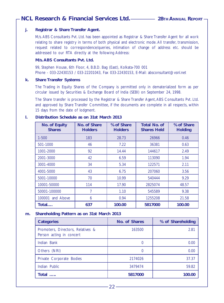#### **j. Registrar & Share Transfer Agent.**

M/s. ABS Consultants Pvt. Ltd. has been appointed as Registrar & Share Transfer Agent for all work relating to share registry in terms of both physical and electronic mode. All transfer, transmission, request related to correspondence/queries, intimation of change of address etc. should be addressed to our RTA directly at the following Address:

#### **M/s. ABS Consultants Pvt. Ltd.**

99, Stephen House, 6th Floor, 4, B.B.D. Bag (East), Kolkata-700 001 Phone - 033-22430153 / 033-22201043, Fax 033-22430153, E-Mail: absconsultant@vsnl.net

#### **k. Share Transfer Systems**

The Trading in Equity Shares of the Company is permitted only in dematerialized form as per circular issued by Securities & Exchange Board of India (SEBI) on September 24, 1998.

The Share transfer is processed by the Registrar & Share Transfer Agent, ABS Consultants Pvt. Ltd. and approved by Share Transfer Committee, if the documents are complete in all respects, within 15 days from the date of lodgment.

#### **l. Distribution Schedule as on 31st March 2013**

| No. of Equity<br><b>Shares</b> | No. of Share<br><b>Holders</b> | % of Share<br><b>Holders</b> | <b>Total No. of</b><br><b>Shares Held</b> | % of Share<br><b>Holding</b> |
|--------------------------------|--------------------------------|------------------------------|-------------------------------------------|------------------------------|
| $1 - 500$                      | 183                            | 28.73                        | 26966                                     | 0.46                         |
| 501-1000                       | 46                             | 7.22                         | 36381                                     | 0.63                         |
| 1001-2000                      | 92                             | 14.44                        | 144617                                    | 2.49                         |
| 2001-3000                      | 42                             | 6.59                         | 113090                                    | 1.94                         |
| 3001-4000                      | 34                             | 5.34                         | 122571                                    | 2.11                         |
| 4001-5000                      | 43                             | 6.75                         | 207060                                    | 3.56                         |
| 5001-10000                     | 70                             | 10.99                        | 540444                                    | 9.29                         |
| 10001-50000                    | 114                            | 17.90                        | 2825074                                   | 48.57                        |
| 50001-100000                   |                                | 1.10                         | 545589                                    | 9.38                         |
| 100001<br>and Above            | 6                              | 0.94                         | 1255208                                   | 21.58                        |
| Total                          | 637                            | 100.00                       | 5817000                                   | 100.00                       |

#### **m. Shareholding Pattern as on 31st March 2013**

| <b>Categories</b>                                             | No. of Shares | % of Shareholding |
|---------------------------------------------------------------|---------------|-------------------|
| Promoters, Directors, Relatives &<br>Person acting in concert | 163500        | 2.81              |
| Indian Bank                                                   |               | 0.00              |
| Others (NRI)                                                  | 0             | 0.00              |
| Private Corporate Bodies                                      | 2174026       | 37.37             |
| Indian Public                                                 | 3479474       | 59.82             |
| Total                                                         | 5817000       | 100.00            |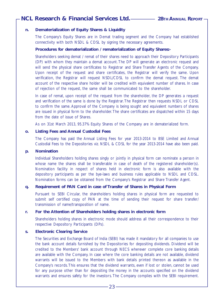#### **n. Dematerialization of Equity Shares & Liquidity**

The Company's Equity Shares are in Demat trading segment and the Company had established connectivity with both NSDL & CDSL by signing the necessary agreements.

#### **Procedures for dematerialization / rematerialization of Equity Shares:-**

Shareholders seeking demat / remat of their shares need to approach their Depository Participants (DP) with whom they maintain a demat account. The DP will generate an electronic request and will send the physical share certificates to Registrar and Share Transfer Agents of the Company. Upon receipt of the request and share certificates, the Registrar will verify the same. Upon verification, the Registrar will request NSDL/CDSL to confirm the demat request. The demat account of the respective share holder will be credited with equivalent number of shares. In case of rejection of the request, the same shall be communicated to the shareholder.

In case of remat, upon receipt of the request from the shareholder, the DP generates a request and verification of the same is done by the Registrar. The Registrar then requests NSDL or CDSL to confirm the same. Approval of the Company is being sought and equivalent numbers of shares are issued in physical form to the shareholder. The share certificates are dispatched within 15 days from the date of issue of Shares.

As on 31st March 2013, 95.37% Equity Shares of the Company are in dematerialized form.

#### **o. Listing Fees and Annual Custodial Fees**

The Company has paid the Annual Listing Fees for year 2013-2014 to BSE Limited and Annual Custodial Fees to the Depositories viz. NSDL & CDSL for the year 2013-2014 have also been paid.

#### **p. Nomination**

Individual Shareholders holding shares singly or jointly in physical form can nominate a person in whose name the shares shall be transferable in case of death of the registered shareholder(s). Nomination facility in respect of shares held in electronic form is also available with the depository participants as per the bye-laws and business rules applicable to NSDL and CDSL. Nomination forms can be obtained from the Company's Registrar and Share Transfer Agent.

#### **q. Requirement of PAN Card in case of Transfer of Shares in Physical Form**

Pursuant to SEBI Circular, the shareholders holding shares in physical form are requested to submit self certified copy of PAN at the time of sending their request for share transfer/ transmission of name/transposition of name.

#### **r. For the Attention of Shareholders holding shares in electronic form**

Shareholders holding shares in electronic mode should address all their correspondence to their respective Depository Participants (DPs).

#### **s. Electronic Clearing Service**

The Securities and Exchange Board of India (SEBI) has made it mandatory for all companies to use the bank account details furnished by the Depositories for depositing dividends. Dividend will be credited to the Members' bank account through NECS wherever complete core banking details are available with the Company. In case where the core banking details are not available, dividend warrants will be issued to the Members with bank details printed thereon as available in the Company's records. This ensures that the dividend warrants, even if lost or stolen, cannot be used for any purpose other than for depositing the money in the accounts specified on the dividend warrants and ensures safety for the investors. The Company complies with the SEBI requirement.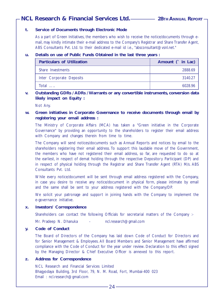#### **t. Service of Documents through Electronic Mode**

As a part of Green Initiatives, the members who wish to receive the notice/documents through email, may kindly intimate their e-mail address to the Company's Registrar and Share Transfer Agent, ABS Consultants Pvt. Ltd. to their dedicated e-mail id i.e., "absconsultant@vsnl.net."

#### **u. Details on use of Public Funds Obtained in the last three years :**

| <b>Particulars of Utilization</b> | Amount ( in Lac) |
|-----------------------------------|------------------|
| Share Investments                 | 2888.69          |
| Inter Corporate Deposits          | 3140.27          |
| Total                             | 6028.96          |

#### **v. Outstanding GDRs / ADRs / Warrants or any convertible instruments, conversion data likely impact on Equity :**

Not Any.

#### **w. Green initiatives in Corporate Governance to receive documents through email by registering your email address :**

The Ministry of Corporate Affairs (MCA) has taken a "Green initiative in the Corporate Governance" by providing an opportunity to the shareholders to register their email address with Company and changes therein from time to time.

The Company will send notices/documents such as Annual Reports and notices by email to the shareholders registering their email address. To support this laudable move of the Government, the members who have not registered their email address, so far, are requested to do so at the earliest, in respect of demat holding through the respective Depository Participant (DP) and in respect of physical holding through the Registrar and Share Transfer Agent (RTA) M/s. ABS Consultants Pvt. Ltd.

While every notice/document will be sent through email address registered with the Company, in case you desire to receive any notice/document in physical form, please intimate by email and the same shall be sent to your address registered with the Company/DP.

We solicit your patronage and support in joining hands with the Company to implement the e-governance initiative.

#### **x. Investors' Correspondence**

Shareholders can contact the following Officials for secretarial matters of the Company :-

Mr. Pradeep N. Dhanuka - ncl.research@gmail.com

#### **y. Code of Conduct**

The Board of Directors of the Company has laid down Code of Conduct for Directors and for Senior Management & Employees. All Board Members and Senior Management have affirmed compliance with the Code of Conduct for the year under review. Declaration to this effect signed by the Managing Director & Chief Executive Officer is annexed to this report.

#### **z. Address for Correspondence**

NCL Research and Financial Services Limited Bhagyodaya Building, 3rd Floor, 79, N. M. Road, Fort, Mumbai-400 023 Email : ncl.research@gmail.com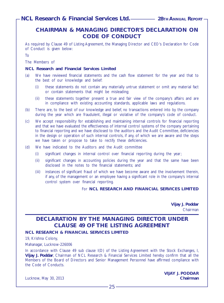# **CHAIRMAN & MANAGING DIRECTOR'S DECLARATION ON CODE OF CONDUCT**

As required by Clause 49 of Listing Agreement, the Managing Director and CEO's Declaration for Code of Conduct is given below:

To

The Members of

#### **NCL Research and Financial Services Limited**

- (a) We have reviewed financial statements and the cash flow statement for the year and that to the best of our knowledge and belief:
	- (i) these statements do not contain any materially untrue statement or omit any material fact or contain statements that might be misleading;
	- (ii) these statements together present a true and fair view of the company's affairs and are in compliance with existing accounting standards, applicable laws and regulations.
- (b) There are, to the best of our knowledge and belief, no transactions entered into by the company during the year which are fraudulent, illegal or violative of the company's code of conduct.
- (c) We accept responsibility for establishing and maintaining internal controls for financial reporting and that we have evaluated the effectiveness of internal control systems of the company pertaining to financial reporting and we have disclosed to the auditors and the Audit Committee, deficiencies in the design or operation of such internal controls, if any, of which we are aware and the steps we have taken or propose to take to rectify these deficiencies.
- (d) We have indicated to the Auditors and the Audit committee
	- (i) significant changes in internal control over financial reporting during the year;
	- (ii) significant changes in accounting policies during the year and that the same have been disclosed in the notes to the financial statements; and
	- (iii) instances of significant fraud of which we have become aware and the involvement therein, if any, of the management or an employee having a significant role in the company's internal control system over financial reporting.

#### For **NCL RESEARCH AND FINANCIAL SERVICES LIMITED**

**Vijay J. Poddar** Chairman

# **DECLARATION BY THE MANAGING DIRECTOR UNDER CLAUSE 49 OF THE LISTING AGREEMENT**

#### **NCL RESEARCH & FINANCIAL SERVICES LIMITED**

19, Krishna Colony,

Mahanagar, Lucknow-226006

In accordance with Clause 49 sub clause I(D) of the Listing Agreement with the Stock Exchanges, I, **Vijay J. Poddar**, Chairman of NCL Research & Financial Services Limited hereby confirm that all the Members of the Board of Directors and Senior Management Personnel have affirmed compliance with the Code of Conducts.

Lucknow, May 30, 2013 **Chairman**

**VIJAY J. PODDAR**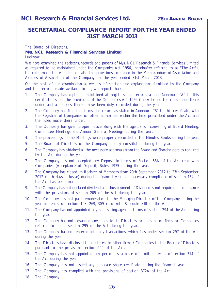# **SECRETARIAL COMPLIANCE REPORT FOR THE YEAR ENDED 31ST MARCH 2013**

The Board of Directors,

#### **M/s. NCL Research & Financial Services Limited**

#### **Lucknow**

We have examined the registers, records and papers of M/s. NCL Research & Financial Services Limited as required to be maintained under the Companies Act, 1956, (hereinafter referred to as "The Act"), the rules made there under and also the provisions contained in the Memorandum of Association and Articles of Association of the Company for the year ended 31st March 2013.

On the basis of our examination as well as information and explanations furnished by the Company and the records made available to us, we report that:

- 1. The Company has kept and maintained all registers and records as per Annexure "A" to this certificate, as per the provisions of the Companies Act 1956 (the Act) and the rules made there under and all entries therein have been duly recorded during the year.
- 2. The Company has filed the forms and return as stated in Annexure "B" to this certificate, with the Registrar of Companies or other authorities within the time prescribed under the Act and the rules made there under.
- 3. The Company has given proper notice along with the agenda for convening of Board Meeting, Committee Meetings and Annual General Meetings during the year.
- 4. The proceedings of the Meetings were properly recorded in the Minutes Books during the year.
- 5. The Board of Directors of the Company is duly constituted during the year.
- 6. The Company has obtained all the necessary approvals from the Board and Shareholders as required by the Act during the year.
- 7. The Company has not accepted any Deposit in terms of Section 58A of the Act read with Companies (Acceptance of Deposit) Rules, 1975 during the year.
- 8. The Company has closed its Register of Members from 20th September 2012 to 27th September 2012 (both days inclusive) during the financial year and necessary compliance of section 154 of the Act has been made.
- 9. The Company has not declared dividend and thus payment of Dividend is not required in compliance with the provisions of section 205 of the Act during the year.
- 10. The Company has not paid remuneration to the Managing Director of the Company during the year in terms of section 198, 269, 309 read with Schedule XIII of the Act.
- 11. The Company has not appointed any sole selling agent in terms of section 294 of the Act during the year.
- 12. The Company has not advanced any loans to its Directors or persons or firms or Companies referred to under section 295 of the Act during the year.
- 13. The Company has not entered into any transactions, which falls under section 297 of the Act during the year.
- 14. The Directors have disclosed their interest in other firms / Companies to the Board of Directors pursuant to the provisions section 299 of the Act.
- 15. The Company has not appointed any person as a place of profit in terms of section 314 of the Act during the year.
- 16. The Company has not issued any duplicate share certificate during the financial year.
- 17. The Company has complied with the provisions of section 372A of the Act.
- 18. The Company :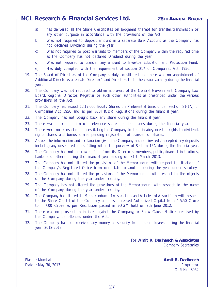- a) has delivered all the Share Certificates on lodgment thereof for transfer/transmission or any other purpose in accordance with the provisions of the Act;
- b) Was not required to deposit amount in a separate Bank Account as the Company has not declared Dividend during the year.
- c) Was not required to post warrants to members of the Company within the required time as the Company has not declared Dividend during the year.
- d) Was not required to transfer any amount to Investor Education and Protection Fund.
- e) Has duly complied with the requirement of section 217 of Companies Act, 1956.
- 19. The Board of Directors of the Company is duly constituted and there was no appointment of Additional Director/s alternate Director/s and Directors to fill the casual vacancy during the financial year.
- 20. The Company was not required to obtain approvals of the Central Government, Company Law Board, Regional Director, Registrar or such other authorities as prescribed under the various provisions of the Act.
- 21. The Company has issued 12,17,000 Equity Shares on Preferential basis under section 81(1A) of Companies Act 1956 and as per SEBI ICDR Regulations during the financial year.
- 22. The Company has not bought back any share during the financial year.
- 23. There was no redemption of preference shares or debentures during the financial year.
- 24. There were no transactions necessitating the Company to keep in abeyance the rights to dividend, rights shares and bonus shares pending registration of transfer of shares.
- 25. As per the information and explanation given, the Company has not invited / accepted any deposits including any unsecured loans falling within the purview of Section 15A during the financial year.
- 26. The Company has not borrowed fund from its Directors, members, public, financial institutions, banks and others during the financial year ending on 31st March 2013.
- 27. The Company has not altered the provisions of the Memorandum with respect to situation of the Company's Registered Office from one state to another during the year under scrutiny
- 28. The Company has not altered the provisions of the Memorandum with respect to the objects of the Company during the year under scrutiny.
- 29. The Company has not altered the provisions of the Memorandum with respect to the name of the Company during the year under scrutiny.
- 30. The Company has altered its Memorandum of Association and Articles of Association with respect to the Share Capital of the Company and has increased Authorized Capital from ` 5.50 Crore to ` 7.00 Crore as per Resolution passed in EOGM held on 7th June 2012.
- 31. There was no prosecution initiated against the Company, or Show Cause Notices received by the Company, for offences under the Act.
- 32. The Company has not received any money as security from its employees during the financial year 2012-2013.

For **Amit R. Dadheech & Associates** Company Secretaries

Place : Mumbai **Amit R. Dadheech** Date : May 30, 2013 **Proprietor Proprietor Proprietor** C. P. No. 8952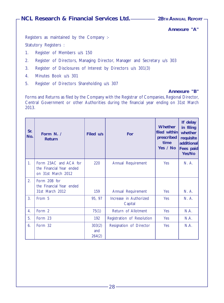**Annexure "A"**

Registers as maintained by the Company :- Statutory Registers :

- 1. Register of Members u/s 150
- 2. Register of Directors, Managing Director, Manager and Secretary u/s 303
- 3. Register of Disclosures of Interest by Directors u/s 301(3)
- 4. Minutes Book u/s 301
- 5. Register of Directors Shareholding u/s 307

#### **Annexure "B"**

Forms and Returns as filed by the Company with the Registrar of Companies, Regional Director, Central Government or other Authorities during the financial year ending on 31st March 2013.

| Sr.<br>No.       | Form N. /<br>Return                                                     | Filed u/s               | For                               | <b>Whether</b><br>filed within<br>prescribed<br>time<br>Yes / No | If delay<br>in filing<br>whether<br>requisite<br>additional<br>Fees paid<br>Yes/No |
|------------------|-------------------------------------------------------------------------|-------------------------|-----------------------------------|------------------------------------------------------------------|------------------------------------------------------------------------------------|
| 1.               | Form 23AC and ACA for<br>the Financial Year ended<br>on 31st March 2012 | 220                     | Annual Requirement                | <b>Yes</b>                                                       | N. A.                                                                              |
| 2.               | Form 20B for<br>the Financial Year ended<br>31st March 2012             | 159                     | Annual Requirement                | <b>Yes</b>                                                       | N. A.                                                                              |
| 3.               | From 5                                                                  | 95, 97                  | Increase in Authorized<br>Capital | <b>Yes</b>                                                       | N. A.                                                                              |
| $\overline{4}$ . | Form 2                                                                  | 75(1)                   | Return of Allotment               | Yes                                                              | N.A.                                                                               |
| 5.               | Form 23                                                                 | 192                     | Registration of Resolution        | Yes                                                              | N.A.                                                                               |
| 6.               | Form 32                                                                 | 303(2)<br>and<br>264(2) | Resignation of Director           | Yes                                                              | N.A.                                                                               |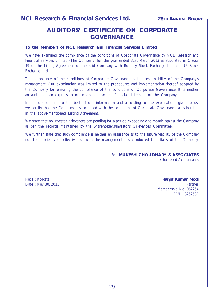# **AUDITORS' CERTIFICATE ON CORPORATE GOVERNANCE**

#### **To the Members of NCL Research and Financial Services Limited**

We have examined the compliance of the conditions of Corporate Governance by NCL Research and Financial Services Limited (The Company) for the year ended 31st March 2013 as stipulated in Clause 49 of the Listing Agreement of the said Company with Bombay Stock Exchange Ltd and UP Stock Exchange Ltd..

The compliance of the conditions of Corporate Governance is the responsibility of the Company's management. Our examination was limited to the procedures and implementation thereof, adopted by the Company for ensuring the compliance of the conditions of Corporate Governance. It is neither an audit nor an expression of an opinion on the financial statement of the Company.

In our opinion and to the best of our information and according to the explanations given to us, we certify that the Company has complied with the conditions of Corporate Governance as stipulated in the above-mentioned Listing Agreement.

We state that no investor grievances are pending for a period exceeding one month against the Company as per the records maintained by the Shareholders/Investors Grievances Committee.

We further state that such compliance is neither an assurance as to the future viability of the Company nor the efficiency or effectiveness with the management has conducted the affairs of the Company.

> For **MUKESH CHOUDHARY & ASSOCIATES** Chartered Accountants

Place : Kolkata **Ranjit Kumar Modi** Date : May 30, 2013 **Partner Date : May 30, 2013** Membership No. 062254 FRN : 325258E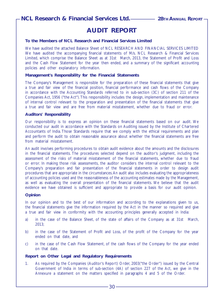# **AUDIT REPORT**

#### **To the Members of NCL Research and Financial Services Limited**

We have audited the attached Balance Sheet of NCL RESEARCH AND FINANCIAL SERVICES LIMITED We have audited the accompanying financial statements of M/s. NCL Research & Financial Services Limited, which comprise the Balance Sheet as at 31st March, 2013, the Statement of Profit and Loss and the Cash Flow Statement for the year then ended, and a summary of the significant accounting policies and other explanatory information.

#### **Management's Responsibility for the Financial Statements**

The Company's Management is responsible for the preparation of these financial statements that give a true and fair view of the financial position, financial performance and cash flows of the Company in accordance with the Accounting Standards referred to in sub-section (3C) of section 211 of the Companies Act, 1956 ("the Act"). This responsibility includes the design, implementation and maintenance of internal control relevant to the preparation and presentation of the financial statements that give a true and fair view and are free from material misstatement, whether due to fraud or error.

#### **Auditors' Responsibility**

Our responsibility is to express an opinion on these financial statements based on our audit. We conducted our audit in accordance with the Standards on Auditing issued by the Institute of Chartered Accountants of India. Those Standards require that we comply with the ethical requirements and plan and perform the audit to obtain reasonable assurance about whether the financial statements are free from material misstatement.

An audit involves performing procedures to obtain audit evidence about the amounts and the disclosures in the financial statements. The procedures selected depend on the auditor's judgment, including the assessment of the risks of material misstatement of the financial statements, whether due to fraud or error. In making those risk assessments, the auditor considers the internal control relevant to the Company's preparation and fair presentation of the financial statements in order to design audit procedures that are appropriate in the circumstances. An audit also includes evaluating the appropriateness of accounting policies used and the reasonableness of the accounting estimates made by the Management, as well as evaluating the overall presentation of the financial statements. We believe that the audit evidence we have obtained is sufficient and appropriate to provide a basis for our audit opinion.

#### **Opinion**

In our opinion and to the best of our information and according to the explanations given to us, the financial statements give the information required by the Act in the manner so required and give a true and fair view in conformity with the accounting principles generally accepted in India:

- a) in the case of the Balance Sheet, of the state of affairs of the Company as at 31st March, 2013;
- b) in the case of the Statement of Profit and Loss, of the profit of the Company for the year ended on that date, and
- c) in the case of the Cash Flow Statement, of the cash flows of the Company for the year ended on that date.

#### **Report on Other Legal and Regulatory Requirements**

1. As required by the Companies (Auditor's Report) Order, 2003("the Order") issued by the Central Government of India in terms of sub-section (4A) of section 227 of the Act, we give in the Annexure a statement on the matters specified in paragraphs 4 and 5 of the Order.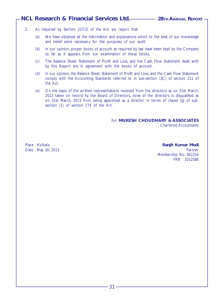- 2. As required by Section 227(3) of the Act, we report that:
	- (a) We have obtained all the information and explanations which to the best of our knowledge and belief were necessary for the purposes of our audit.
	- (b) In our opinion, proper books of account as required by law have been kept by the Company so far as it appears from our examination of those books.
	- (c) The Balance Sheet, Statement of Profit and Loss, and the Cash Flow Statement dealt with by this Report are in agreement with the books of account.
	- (d) In our opinion, the Balance Sheet, Statement of Profit and Loss, and the Cash Flow Statement comply with the Accounting Standards referred to in sub-section (3C) of section 211 of the Act.
	- (e) On the basis of the written representations received from the directors as on 31st March, 2013 taken on record by the Board of Directors, none of the directors is disqualified as on 31st March, 2013 from being appointed as a director in terms of clause (g) of subsection (1) of section 274 of the Act.

For **MUKESH CHOUDHARY & ASSOCIATES** Chartered Accountants

Place : Kolkata **Ranjit Kumar Modi** Date : May 30, 2013 Partner New York 2014 Partner New York 2014 Partner New York 2014 Partner Membership No. 062254 FRN : 325258E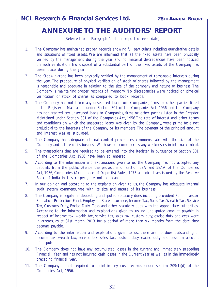# **ANNEXURE TO THE AUDITORS' REPORT**

(Referred to in Paragraph 1 of our report of even date)

- 1. The Company has maintained proper records showing full particulars including quantitative details and situations of fixed assets. We are informed that all the fixed assets have been physically verified by the management during the year and no material discrepancies have been noticed on such verification. No disposal of a substantial part of the fixed assets of the Company has taken place during the year.
- 2. The Stock-in-trade has been physically verified by the management at reasonable intervals during the year. The procedure of physical verification of stock of shares followed by the management is reasonable and adequate in relation to the size of the company and nature of business. The Company is maintaining proper records of inventory. No discrepancies were noticed on physical verification of stock of shares as compared to book records.
- 3. The Company has not taken any unsecured loan from Companies, firms or other parties listed in the Register Maintained under Section 301 of the Companies Act, 1956 and the Company has not granted any unsecured loans to Companies, firms or other parties listed in the Register Maintained under Section 301 of the Companies Act, 1956.The rate of interest and other terms and conditions on which the unsecured loans was given by the Company, were prima facie not prejudicial to the interests of the Company or its members. The payment of the principal amount and interest was as stipulated.
- 4. The Company has adequate internal control procedures commensurate with the size of the Company and nature of its business. We have not come across any weaknesses in internal control.
- 5. The transactions that are required to be entered into the Register in pursuance of Section 301 of the Companies Act 1956 have been so entered.
- 6. According to the information and explanations given to us, the Company has not accepted any deposits from the public .Hence the provisions of Section 58A and 58AA of the Companies Act, 1956, Companies (Acceptance of Deposits) Rules, 1975 and directives issued by the Reserve Bank of India in this respect, are not applicable.
- 7. In our opinion and according to the explanation given to us, the Company has adequate internal audit system commensurate with its size and nature of its business.
- 8. The Company is regular in depositing undisputed statutory dues including provident Fund, Investor Education Protection Fund, Employees State Insurance, Income Tax, Sales Tax, Wealth Tax, Service Tax, Customs Duty, Excise Duty, Cess and other statutory dues with the appropriate authorities. According to the information and explanations given to us, no undisputed amount payable in respect of income tax, wealth tax, service tax, sales tax, custom duty, excise duty and cess were in arrears, as at 31st march, 2013 for a period of more than six months from the date they became payable.
- 9. According to the information and explanations given to us, there are no dues outstanding of income tax, wealth tax, service tax, sales tax, custom duty, excise duty and cess on account of dispute.
- 10. The Company does not have any accumulated losses in the current and immediately preceding Financial Year and has not incurred cash losses in the Current Year as well as in the immediately preceding financial year.
- 11. The Company is not required to maintain any cost records under section 209(1)(d) of the Companies Act, 1956.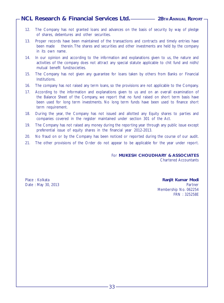- 12. The Company has not granted loans and advances on the basis of security by way of pledge of shares, debentures and other securities.
- 13. Proper records have been maintained of the transactions and contracts and timely entries have been made therein. The shares and securities and other investments are held by the company in its own name.
- 14. In our opinion and according to the information and explanations given to us, the nature and activities of the company does not attract any special statute applicable to chit fund and nidhi/ mutual benefit fund/societies.
- 15. The Company has not given any guarantee for loans taken by others from Banks or Financial Institutions.
- 16. The company has not raised any term loans, so the provisions are not applicable to the Company.
- 17. According to the information and explanations given to us and on an overall examination of the Balance Sheet of the Company, we report that no fund raised on short term basis have been used for long term investments. No long term funds have been used to finance short term requirement.
- 18. During the year, the Company has not issued and allotted any Equity shares to parties and companies covered in the register maintained under section 301 of the Act.
- 19. The Company has not raised any money during the reporting year through any public issue except preferential issue of equity shares in the financial year 2012-2013.
- 20. No fraud on or by the Company has been noticed or reported during the course of our audit.
- 21. The other provisions of the Order do not appear to be applicable for the year under report.

For **MUKESH CHOUDHARY & ASSOCIATES** Chartered Accountants

Place : Kolkata **Ranjit Kumar Modi** Date : May 30, 2013 **Partner** Membership No. 062254 FRN : 325258E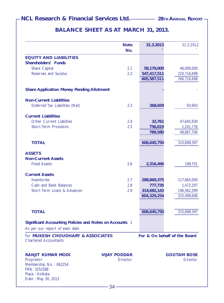# **BALANCE SHEET AS AT MARCH 31, 2013.**

|                                                                                                   | <b>Note</b><br>No.  | 31.3.2013   | 31.3.2012          |
|---------------------------------------------------------------------------------------------------|---------------------|-------------|--------------------|
| <b>EQUITY AND LIABILITIES</b>                                                                     |                     |             |                    |
| Shareholders' Funds                                                                               |                     |             |                    |
| <b>Share Capital</b>                                                                              | 2.1                 | 58,170,000  | 46,000,000         |
| Reserves and Surplus                                                                              | 2.2                 | 547,417,511 | 220,716,698        |
|                                                                                                   |                     | 605,587,511 | 266,716,698        |
| <b>Share Application Money Pending Allotment</b>                                                  |                     |             |                    |
| <b>Non-Current Liabilities</b>                                                                    |                     |             |                    |
| Deferred Tax Liabilities (Net)                                                                    | 2.3                 | 268,659     | 93,993             |
| <b>Current Liabilities</b>                                                                        |                     |             |                    |
| <b>Other Current Liabilties</b>                                                                   | 2.4                 | 32,761      | 47,645,930         |
| <b>Short-Term Provisions</b>                                                                      | 2.5                 | 756,819     | 1,241,776          |
|                                                                                                   |                     | 789,580     | 48,887,706         |
| <b>TOTAL</b>                                                                                      |                     | 606,645,750 | 315,698,397        |
| <b>ASSETS</b>                                                                                     |                     |             |                    |
| <b>Non-Current Assets</b>                                                                         |                     |             |                    |
| <b>Fixed Assets</b>                                                                               | 2.6                 | 2,316,496   | 198,701            |
| <b>Current Assets</b>                                                                             |                     |             |                    |
| Inventories                                                                                       | 2.7                 | 288,869,375 | 117,665,000        |
| Cash and Bank Balances                                                                            | 2.8                 | 777,735     | 1,472,297          |
| Short Term Loans & Advances                                                                       | 2.9                 | 314,682,143 | 196,362,399        |
|                                                                                                   |                     | 604,329,254 | 315,499,696        |
|                                                                                                   |                     |             |                    |
| <b>TOTAL</b>                                                                                      |                     | 606,645,750 | 315,698,397        |
| Significant Accounting Policies and Notes on Accounts 1<br>As per our report of even date         |                     |             |                    |
| For MUKESH CHOUDHARY & ASSOCIATES<br>For & On behalf of the Board<br><b>Chartered Accountants</b> |                     |             |                    |
| <b>RANJIT KUMAR MODI</b>                                                                          | <b>VIJAY PODDAR</b> |             | <b>GOUTAM BOSE</b> |
| Proprietor<br>Membership No.: 062254<br>FRN: 325258E                                              | <b>Director</b>     |             | <b>Director</b>    |
| Place: Kolkata<br>Date: May 30, 2013                                                              |                     |             |                    |
|                                                                                                   |                     |             |                    |
|                                                                                                   |                     |             |                    |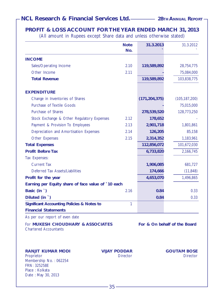# **PROFIT & LOSS ACCOUNT FOR THE YEAR ENDED MARCH 31, 2013**

(All amount in Rupees except Share data and unless otherwise stated)

|                                                                                                                          | <b>Note</b><br>No.                     | 31.3.2013                    | 31.3.2012                             |
|--------------------------------------------------------------------------------------------------------------------------|----------------------------------------|------------------------------|---------------------------------------|
| <b>INCOME</b>                                                                                                            |                                        |                              |                                       |
| Sales/Operating Income                                                                                                   | 2.10                                   | 119,589,892                  | 28,754,775                            |
| Other Income                                                                                                             | 2.11                                   |                              | 75,084,000                            |
| <b>Total Revenue</b>                                                                                                     |                                        | 119,589,892                  | 103,838,775                           |
| <b>EXPENDITURE</b>                                                                                                       |                                        |                              |                                       |
| Change in Inventories of Shares                                                                                          |                                        | (171, 204, 375)              | (105, 187, 200)                       |
| Purchase of Textile Goods                                                                                                |                                        |                              | 75,015,000                            |
| Purchase of Shares                                                                                                       |                                        | 278,539,520                  | 128,773,250                           |
| Stock Exchange & Other Regulatory Expenses                                                                               | 2.12                                   | 178,652                      |                                       |
| Payment & Provision To Employees                                                                                         | 2.13                                   | 2,901,718                    | 1,801,861                             |
| Depreciation and Amortisation Expenses                                                                                   | 2.14                                   | 126,205                      | 85,158                                |
| Other Expenses                                                                                                           | 2.15                                   | 2,314,352                    | 1,183,961                             |
| <b>Total Expenses</b>                                                                                                    |                                        | 112,856,072                  | 101,672,030                           |
| <b>Profit Before Tax</b>                                                                                                 |                                        | 6,733,820                    | 2,166,745                             |
| Tax Expenses:                                                                                                            |                                        |                              |                                       |
| <b>Current Tax</b>                                                                                                       |                                        | 1,906,085                    | 681,727                               |
| Deferred Tax Assets/Liabilities                                                                                          |                                        | 174,666                      | (11, 848)                             |
| Profit for the year                                                                                                      |                                        | 4,653,070                    | 1,496,865                             |
| Earning per Equity share of face value of `10 each                                                                       |                                        |                              |                                       |
| Basic (in `)                                                                                                             | 2.16                                   | 0.84                         | 0.33                                  |
| Diluted (in `)                                                                                                           |                                        | 0.84                         | 0.33                                  |
| <b>Significant Accounting Policies &amp; Notes to</b><br><b>Financial Statements</b>                                     | $\mathbf{1}$                           |                              |                                       |
| As per our report of even date                                                                                           |                                        |                              |                                       |
| For MUKESH CHOUDHARY & ASSOCIATES<br><b>Chartered Accountants</b>                                                        |                                        | For & On behalf of the Board |                                       |
| <b>RANJIT KUMAR MODI</b><br>Proprietor<br>Membership No.: 062254<br>FRN: 325258E<br>Place: Kolkata<br>Date: May 30, 2013 | <b>VIJAY PODDAR</b><br><b>Director</b> |                              | <b>GOUTAM BOSE</b><br><b>Director</b> |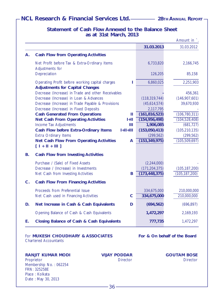| 2,251,903<br>6,860,025<br>Operating Profit before working capital charges<br><b>Adjustments for Capital Changes</b><br>Decrease (Increase) in Trade and other Receivables<br>456,361<br>(146,907,601)<br>Decrease (Increase) in Loan & Advances<br>(118, 319, 744)<br>Decrease (Increase) in Trade Payable & Provisions<br>(45,614,574)<br>39,670,930<br>Decrease (Increase) in Fixed Deposits<br>2,117,795<br><b>Cash Generated From Operations</b><br>(106, 780, 311)<br>(161, 816, 523)<br>Ш<br>(104, 528, 408)<br>(154, 956, 498)<br><b>Net Cash From Operating Activities</b><br>$1+11$<br>(681, 727)<br>Income Tax Adjustments<br>Ш<br>1,906,085<br>$H = H + H$<br>(153,050,413)<br>(105, 210, 135)<br>Cash Flow before Extra-Ordinary Items<br><b>Extra Ordinary Items</b><br>(299, 562)<br>(299, 562)<br>(153, 349, 975)<br>(105, 509, 697)<br>Net Cash Flow From Operating Activities<br>A<br>$[1 + 11 + 111]$<br><b>Cash Flow from Investing Activities</b><br>В.<br>Purchase / (Sale) of Fixed Assets<br>(2,244,000)<br>Decrease / (Increase) in Investments<br>(171, 204, 375)<br>(105, 187, 200)<br>Net Cash from Investing Activities<br>(173, 448, 375)<br>(105, 187, 200)<br>в<br>$C$ .<br><b>Cash Flow From Financing Activities</b><br>Proceeds from Preferential Issue<br>334,675,000<br>210,000,000<br>$\mathbf C$<br>334,675,000<br>210,000,000<br>Net Cash used in Financing Activities<br>Net Increase in Cash & Cash Equivalents<br>(694, 562)<br>(696, 897)<br>D.<br>D<br>Opening Balance of Cash & Cash Equivalents<br>1,472,297<br>2,169,193<br><b>Closing Balance of Cash &amp; Cash Equivalents</b><br>777,735<br>1,472,297<br>Е. | Depreciation | 126,205 | 85,158 |
|----------------------------------------------------------------------------------------------------------------------------------------------------------------------------------------------------------------------------------------------------------------------------------------------------------------------------------------------------------------------------------------------------------------------------------------------------------------------------------------------------------------------------------------------------------------------------------------------------------------------------------------------------------------------------------------------------------------------------------------------------------------------------------------------------------------------------------------------------------------------------------------------------------------------------------------------------------------------------------------------------------------------------------------------------------------------------------------------------------------------------------------------------------------------------------------------------------------------------------------------------------------------------------------------------------------------------------------------------------------------------------------------------------------------------------------------------------------------------------------------------------------------------------------------------------------------------------------------------------------------------------------------------------------|--------------|---------|--------|
|                                                                                                                                                                                                                                                                                                                                                                                                                                                                                                                                                                                                                                                                                                                                                                                                                                                                                                                                                                                                                                                                                                                                                                                                                                                                                                                                                                                                                                                                                                                                                                                                                                                                |              |         |        |
|                                                                                                                                                                                                                                                                                                                                                                                                                                                                                                                                                                                                                                                                                                                                                                                                                                                                                                                                                                                                                                                                                                                                                                                                                                                                                                                                                                                                                                                                                                                                                                                                                                                                |              |         |        |
|                                                                                                                                                                                                                                                                                                                                                                                                                                                                                                                                                                                                                                                                                                                                                                                                                                                                                                                                                                                                                                                                                                                                                                                                                                                                                                                                                                                                                                                                                                                                                                                                                                                                |              |         |        |
|                                                                                                                                                                                                                                                                                                                                                                                                                                                                                                                                                                                                                                                                                                                                                                                                                                                                                                                                                                                                                                                                                                                                                                                                                                                                                                                                                                                                                                                                                                                                                                                                                                                                |              |         |        |
|                                                                                                                                                                                                                                                                                                                                                                                                                                                                                                                                                                                                                                                                                                                                                                                                                                                                                                                                                                                                                                                                                                                                                                                                                                                                                                                                                                                                                                                                                                                                                                                                                                                                |              |         |        |
|                                                                                                                                                                                                                                                                                                                                                                                                                                                                                                                                                                                                                                                                                                                                                                                                                                                                                                                                                                                                                                                                                                                                                                                                                                                                                                                                                                                                                                                                                                                                                                                                                                                                |              |         |        |
|                                                                                                                                                                                                                                                                                                                                                                                                                                                                                                                                                                                                                                                                                                                                                                                                                                                                                                                                                                                                                                                                                                                                                                                                                                                                                                                                                                                                                                                                                                                                                                                                                                                                |              |         |        |
|                                                                                                                                                                                                                                                                                                                                                                                                                                                                                                                                                                                                                                                                                                                                                                                                                                                                                                                                                                                                                                                                                                                                                                                                                                                                                                                                                                                                                                                                                                                                                                                                                                                                |              |         |        |
|                                                                                                                                                                                                                                                                                                                                                                                                                                                                                                                                                                                                                                                                                                                                                                                                                                                                                                                                                                                                                                                                                                                                                                                                                                                                                                                                                                                                                                                                                                                                                                                                                                                                |              |         |        |
|                                                                                                                                                                                                                                                                                                                                                                                                                                                                                                                                                                                                                                                                                                                                                                                                                                                                                                                                                                                                                                                                                                                                                                                                                                                                                                                                                                                                                                                                                                                                                                                                                                                                |              |         |        |
|                                                                                                                                                                                                                                                                                                                                                                                                                                                                                                                                                                                                                                                                                                                                                                                                                                                                                                                                                                                                                                                                                                                                                                                                                                                                                                                                                                                                                                                                                                                                                                                                                                                                |              |         |        |
|                                                                                                                                                                                                                                                                                                                                                                                                                                                                                                                                                                                                                                                                                                                                                                                                                                                                                                                                                                                                                                                                                                                                                                                                                                                                                                                                                                                                                                                                                                                                                                                                                                                                |              |         |        |
|                                                                                                                                                                                                                                                                                                                                                                                                                                                                                                                                                                                                                                                                                                                                                                                                                                                                                                                                                                                                                                                                                                                                                                                                                                                                                                                                                                                                                                                                                                                                                                                                                                                                |              |         |        |
|                                                                                                                                                                                                                                                                                                                                                                                                                                                                                                                                                                                                                                                                                                                                                                                                                                                                                                                                                                                                                                                                                                                                                                                                                                                                                                                                                                                                                                                                                                                                                                                                                                                                |              |         |        |
|                                                                                                                                                                                                                                                                                                                                                                                                                                                                                                                                                                                                                                                                                                                                                                                                                                                                                                                                                                                                                                                                                                                                                                                                                                                                                                                                                                                                                                                                                                                                                                                                                                                                |              |         |        |
|                                                                                                                                                                                                                                                                                                                                                                                                                                                                                                                                                                                                                                                                                                                                                                                                                                                                                                                                                                                                                                                                                                                                                                                                                                                                                                                                                                                                                                                                                                                                                                                                                                                                |              |         |        |
|                                                                                                                                                                                                                                                                                                                                                                                                                                                                                                                                                                                                                                                                                                                                                                                                                                                                                                                                                                                                                                                                                                                                                                                                                                                                                                                                                                                                                                                                                                                                                                                                                                                                |              |         |        |
|                                                                                                                                                                                                                                                                                                                                                                                                                                                                                                                                                                                                                                                                                                                                                                                                                                                                                                                                                                                                                                                                                                                                                                                                                                                                                                                                                                                                                                                                                                                                                                                                                                                                |              |         |        |
|                                                                                                                                                                                                                                                                                                                                                                                                                                                                                                                                                                                                                                                                                                                                                                                                                                                                                                                                                                                                                                                                                                                                                                                                                                                                                                                                                                                                                                                                                                                                                                                                                                                                |              |         |        |
|                                                                                                                                                                                                                                                                                                                                                                                                                                                                                                                                                                                                                                                                                                                                                                                                                                                                                                                                                                                                                                                                                                                                                                                                                                                                                                                                                                                                                                                                                                                                                                                                                                                                |              |         |        |
|                                                                                                                                                                                                                                                                                                                                                                                                                                                                                                                                                                                                                                                                                                                                                                                                                                                                                                                                                                                                                                                                                                                                                                                                                                                                                                                                                                                                                                                                                                                                                                                                                                                                |              |         |        |
|                                                                                                                                                                                                                                                                                                                                                                                                                                                                                                                                                                                                                                                                                                                                                                                                                                                                                                                                                                                                                                                                                                                                                                                                                                                                                                                                                                                                                                                                                                                                                                                                                                                                |              |         |        |
|                                                                                                                                                                                                                                                                                                                                                                                                                                                                                                                                                                                                                                                                                                                                                                                                                                                                                                                                                                                                                                                                                                                                                                                                                                                                                                                                                                                                                                                                                                                                                                                                                                                                |              |         |        |
|                                                                                                                                                                                                                                                                                                                                                                                                                                                                                                                                                                                                                                                                                                                                                                                                                                                                                                                                                                                                                                                                                                                                                                                                                                                                                                                                                                                                                                                                                                                                                                                                                                                                |              |         |        |

**A. Cash Flow from Operating Activities**

Adjustments for

**Statement of Cash Flow Annexed to the Balance Sheet as at 31st March, 2013**

Net Profit before Tax & Extra-Ordinary Items 6,733,820 2,166,745

For **MUKESH CHOUDHARY & ASSOCIATES For & On behalf of the Board** Chartered Accountants

**RANJIT KUMAR MODI VIJAY PODDAR GOUTAM BOSE** Proprietor Director Director Membership No. : 062254 FRN: 325258E Place : Kolkata Date : May 30, 2013

 $-36-$ 

**31.03.2013** 31.03.2012

Amount in `.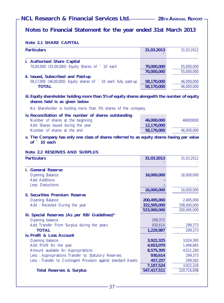# **Notes to Financial Statement for the year ended 31st March 2013**

#### **Note 2.1 SHARE CAPITAL**

| <b>Particulars</b>                                                                                                            | 31.03.2013  | 31.03.2012  |
|-------------------------------------------------------------------------------------------------------------------------------|-------------|-------------|
| i. Authorised Share Capital                                                                                                   |             |             |
| 70,00,000 (55,00,000) Equity Shares of ` 10 each                                                                              | 70,000,000  | 55,000,000  |
|                                                                                                                               | 70,000,000  | 55,000,000  |
| ii. Issued, Subscribed and Paid-up                                                                                            |             |             |
| 58,17,000 (46,00,000) Equity shares of ` 10 each fully paid-up                                                                | 58,170,000  | 46,000,000  |
| <b>TOTAL</b>                                                                                                                  | 58,170,000  | 46,000,000  |
| iii. Equity shareholder holding more than 5% of equity shares alongwith the number of equity<br>shares held is as given below |             |             |
| No Shareholder is holding more than 5% shares of the company.                                                                 |             |             |
| iv. Reconciliation of the number of shares outstanding                                                                        |             |             |
| Number of shares at the beginning                                                                                             | 46,000,000  | 46000000    |
| Add: Shares issued during the year                                                                                            | 12,170,000  |             |
| Number of shares at the end                                                                                                   | 58,170,000  | 46,000,000  |
| v. The Company has only one class of shares referred to as equity shares having par value<br>of ` 10 each                     |             |             |
| Note 2.2 RESERVES AND SURPLUS                                                                                                 |             |             |
| <b>Particulars</b>                                                                                                            | 31.03.2013  | 31.03.2012  |
| i. General Reserve                                                                                                            |             |             |
| Opening Balance                                                                                                               | 16,000,000  | 16,000,000  |
| Add: Additions                                                                                                                |             |             |
| Less: Deductions                                                                                                              |             |             |
|                                                                                                                               | 16,000,000  | 16,000,000  |
| <b>ii. Securities Premium Reserve</b>                                                                                         |             |             |
| Opening Balance                                                                                                               | 200,495,000 | 2,495,000   |
| Add: Recevied During the year                                                                                                 | 322,505,000 | 198,000,000 |
|                                                                                                                               | 523,000,000 | 200,495,000 |
| iii. Special Reserves (As per RBI Guidelines)*                                                                                |             |             |
| Opening balance                                                                                                               | 299,373     |             |
| Add: Transfer From Surplus during the years                                                                                   | 930,614     | 299,373     |

| <b>TOTAL</b>                                                   | 1,229,987 | 299.373   |
|----------------------------------------------------------------|-----------|-----------|
| iv. Profit & Loss Account                                      |           |           |
| Opening balance                                                | 3.922.325 | 3,024,395 |
| Add: Profit for the year                                       | 4,653,070 | 1,496,865 |
| Amount available for Appropriations                            | 8,575,395 | 4,521,260 |
| Less: Appropriations Transfer to Statutory Reserves            | 930,614   | 299,373   |
| Less: Transfer to Contingent Provision against standard Assets | 457,257   | 299.562   |
|                                                                | 7.187.524 | 3.922.326 |

**Total Reserves & Surplus 647,417,511** 220,716,698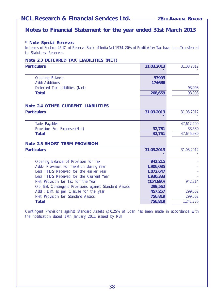# **Notes to Financial Statement for the year ended 31st March 2013**

#### **\* Note Special Reserves**

In terms of Section 45 IC of Reserve Bank of India Act.1934. 20% of Profit After Tax have been Transferred to Statutory Reserves.

|  |  |  |  | Note 2.3 DEFERRED TAX LIABILITIES (NET) |  |
|--|--|--|--|-----------------------------------------|--|
|--|--|--|--|-----------------------------------------|--|

| <b>Particulars</b>                                                                  | 31.03.2013         | 31.03.2012         |
|-------------------------------------------------------------------------------------|--------------------|--------------------|
| <b>Opening Balance</b>                                                              | 93993              |                    |
| Add: Additions                                                                      | 174666             |                    |
| Deferred Tax Liabilities (Net)                                                      |                    | 93,993             |
| <b>Total</b>                                                                        | 268,659            | 93,993             |
|                                                                                     |                    |                    |
| Note 2.4 OTHER CURRENT LIABILITIES                                                  |                    |                    |
| <b>Particulars</b>                                                                  | 31.03.2013         | 31.03.2012         |
| Tade Payables                                                                       |                    | 47,612,400         |
| Provision For Expenses(Net)                                                         | 32,761             | 33,530             |
| <b>Total</b>                                                                        | 32,761             | 47,645,930         |
| Note 2.5 SHORT TERM PROVISION                                                       |                    |                    |
| <b>Particulars</b>                                                                  | 31.03.2013         | 31.03.2012         |
|                                                                                     |                    |                    |
| Opening Balance of Provision for Tax                                                | 942,215            |                    |
| Add:- Provision For Taxation during Year<br>Less: TDS Received for the earlier Year | 1,906,085          |                    |
|                                                                                     | 1,072,647          |                    |
| Less: TDS Received for the Current Year<br>Net Provision for Tax for the Year       | 1,930,333          |                    |
|                                                                                     | (154, 680)         | 942,214            |
| Op. Bal. Contingent Provisions against Standard Assets                              | 299,562            |                    |
| Add: Diff. as per Clasuse for the year<br>Net Provision for Standard Assets         | 457,257<br>756,819 | 299,562<br>299,562 |
| <b>Total</b>                                                                        | 756,819            | 1,241,776          |
|                                                                                     |                    |                    |

Contingent Provisions against Standard Assets @0.25% of Loan has been made in accordance with the notification dated 17th January 2011 issued by RBI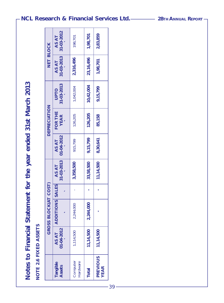# Notes to Financial Statement for the year ended 31st March 2013 **Notes to Financial Statement for the year ended 31st March 2013** NOTE 2.6 FIXED ASSETS **NOTE 2.6 FIXED ASSETS**

|                         |                     | GROSS BLOCK(AT COST)   |                           |                            | <b>DEPRECIATION</b>    |                            | NET BLOCK           |                     |
|-------------------------|---------------------|------------------------|---------------------------|----------------------------|------------------------|----------------------------|---------------------|---------------------|
| Tangible<br>Assets      | 01-04-2012<br>AS AT | <b>ADDITIONS SALES</b> | $31 - 03 - 2013$<br>AS AT | $101 - 04 - 2012$<br>AS AT | FOR THE<br><b>YEAR</b> | 31-03-2013<br><b>OLIdO</b> | 31-03-2013<br>AS AT | 31-03-2012<br>AS AT |
| Computer<br>Hardware    | 1,114,500           | 2,244,000              | 3,358,500                 | 915,799                    | 126,205                | 1,042,004                  | 2,316,496           | 198,701             |
| <b>Total</b>            | 11,14,500           | 2,244,000              | 33,58,500                 | 9,15,799                   | 126,205                | 10,42,004                  | 23,16,496           | 1,98,701            |
| PREVIOUS<br><b>YEAR</b> | 11,14,500           |                        | 11,14,500                 | 8,30,641                   | 85,158                 | 9,15,799                   | 1,98,701            | 2,83,859            |

# **NCL Research & Financial Services Ltd.** 28TH ANNUAL REPORT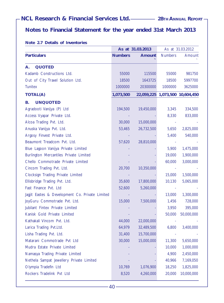# **Notes to Financial Statement for the year ended 31st March 2013**

#### **Note 2.7 Details of Inventories**

|                                                 |                | As at 31.03.2013 |                | As at 31.03.2012                |
|-------------------------------------------------|----------------|------------------|----------------|---------------------------------|
| <b>Particulars</b>                              | <b>Numbers</b> | Amount           | <b>Numbers</b> | Amount                          |
| <b>QUOTED</b><br>А.                             |                |                  |                |                                 |
| Kadamb Constructions Ltd.                       | 55000          | 115500           | 55000          | 981750                          |
| Out of City Travel Solution Ltd.                | 18500          | 1643725          | 18500          | 5997700                         |
| <b>Tunitex</b>                                  | 1000000        | 20300000         | 1000000        | 3625000                         |
| <b>TOTAL(A)</b>                                 | 1,073,500      |                  |                | 22,059,225 1,073,500 10,604,450 |
| <b>UNQUOTED</b>                                 |                |                  |                |                                 |
| В.<br>Agradooti Vanijya (P) Ltd                 |                |                  |                |                                 |
| Access Vyapar Private Ltd.                      | 194,500        | 19,450,000       | 3,345          | 334,500                         |
| Alcoa Trading Pvt. Ltd.                         | 30,000         | 15,000,000       | 8,330          | 833,000                         |
| Anuska Vanijya Pvt. Ltd.                        |                | 26,732,500       | 5,650          |                                 |
| Argosy Finvest Private Ltd.                     | 53,465         |                  | 5,400          | 2,825,000<br>540,000            |
| Beaumont Treadcom Pvt. Ltd.                     | 57,620         | 28,810,000       |                |                                 |
| Blue Lagoon Vanijya Private Limited             |                |                  | 5,900          | 1,475,000                       |
| Burlington Mercantiles Private Limited          |                |                  | 19,000         | 1,900,000                       |
| Chello Commotrade Private Limited               |                |                  | 60,000         | 3,000,000                       |
| Cincom Trading Pvt. Ltd.                        | 20,700         | 10,350,000       |                |                                 |
| Clocksign Trading Private Limited               |                |                  | 15,000         | 1,500,000                       |
| Ellisbridge Trading Pvt. Ltd.                   | 35,600         | 17,800,000       | 10,130         | 5,065,000                       |
| Fast Finance Pvt. Ltd                           | 52,600         | 5,260,000        |                |                                 |
| Jagjit Eastes & Development Co. Private Limited |                |                  | 13,000         | 1,300,000                       |
| JoyGuru Commotrade Pvt. Ltd.                    | 15,000         | 7,500,000        | 1,456          | 728,000                         |
| Jubilant Fintex Private Limited                 |                |                  | 3,950          | 395,000                         |
| Kanisk Gold Private Limited                     |                |                  | 50,000         | 50,000,000                      |
| Kathakali Vincom Pvt. Ltd.                      | 44,000         | 22,000,000       |                |                                 |
| Larica Trading Pvt.Ltd.                         | 64,979         | 32,489,500       | 6,800          | 3,400,000                       |
| Lisha Trading Pvt. Ltd.                         | 31,400         | 15,700,000       |                |                                 |
| Matarani Commotrade Pvt Ltd                     | 30,000         | 15,000,000       | 11,300         | 5,650,000                       |
| Mudra Estate Private Limited                    |                |                  | 10,000         | 1,000,000                       |
| Namasya Trading Private Limited                 |                |                  | 4,900          | 2,450,000                       |
| Nethela Sampat Jewellery Private Limited        |                |                  | 40,966         | 7,169,050                       |
| Olympia Tradefin Ltd                            | 10,769         | 1,076,900        | 18,250         | 1,825,000                       |
| Rockers Tradelink Pvt Ltd                       | 8,520          | 4,260,000        | 20,000         | 10,000,000                      |
|                                                 |                |                  |                |                                 |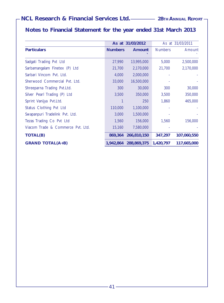# **Notes to Financial Statement for the year ended 31st March 2013**

|                                   |                | As at 31/03/2012 |                | As at 31/03/2011 |
|-----------------------------------|----------------|------------------|----------------|------------------|
| <b>Particulars</b>                | <b>Numbers</b> | Amount           | <b>Numbers</b> | Amount           |
|                                   |                |                  |                |                  |
| Sadgati Trading Pvt Ltd           | 27,990         | 13,995,000       | 5,000          | 2,500,000        |
| Sarbamangalam Finetex (P) Ltd     | 21,700         | 2,170,000        | 21,700         | 2,170,000        |
| Sarbari Vincom Pvt. Ltd.          | 4,000          | 2,000,000        |                |                  |
| Sherwood Commercial Pyt. Ltd.     | 33,000         | 16,500,000       |                |                  |
| Shreeparna Trading Pvt.Ltd.       | 300            | 30,000           | 300            | 30,000           |
| Silver Pearl Trading (P) Ltd      | 3,500          | 350,000          | 3,500          | 350,000          |
| Sprint Vanijya Pvt.Ltd.           |                | 250              | 1,860          | 465,000          |
| Status Clothing Pvt Ltd           | 110,000        | 1,100,000        |                |                  |
| Swapanpuri Tradelink Pvt. Ltd.    | 3,000          | 1,500,000        |                |                  |
| Tezas Trading Co Pvt Ltd          | 1,560          | 156,000          | 1,560          | 156,000          |
| Viacom Trade & Commerce Pyt. Ltd. | 15,160         | 7,580,000        |                |                  |
| <b>TOTAL(B)</b>                   | 869,364        | 266,810,150      | 347,297        | 107,060,550      |
| <b>GRAND TOTAL(A+B)</b>           | 1.942.864      | 288,869,375      | 1,420,797      | 117,665,000      |

–41 –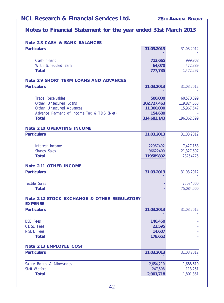# **Notes to Financial Statement for the year ended 31st March 2013**

| Note 2.8 CASH & BANK BALANCES                                 |             |             |
|---------------------------------------------------------------|-------------|-------------|
| <b>Particulars</b>                                            | 31.03.2013  | 31.03.2012  |
| Cash-in-hand                                                  | 713,665     | 999,908     |
| With Scheduled Bank                                           | 64,070      | 472,389     |
| <b>Total</b>                                                  | 777,735     | 1,472,297   |
| Note 2.9 SHORT TERM LOANS AND ADVANCES                        |             |             |
| <b>Particulars</b>                                            | 31.03.2013  | 31.03.2012  |
| Trade Receivables                                             | 500,000     | 60,570,099  |
| Other Unsecured Loans                                         | 302,727,463 | 119,824,653 |
| Other Unsecured Advances                                      | 11,300,000  | 15,967,647  |
| Advance Payment of income Tax & TDS (Net)                     | 154,680     |             |
| <b>Total</b>                                                  | 314,682,143 | 196,362,399 |
| Note 2.10 OPERATING INCOME                                    |             |             |
| <b>Particulars</b>                                            | 31.03.2013  | 31.03.2012  |
| Interest income                                               | 22967492    | 7,427,168   |
| <b>Shares</b> Sales                                           | 96622400    | 21,327,607  |
| <b>Total</b>                                                  | 119589892   | 28754775    |
| Note 2.11 OTHER INCOME                                        |             |             |
| <b>Particulars</b>                                            | 31.03.2013  | 31.03.2012  |
| <b>Textile Sales</b>                                          |             | 75084000    |
| Total                                                         |             | 75,084,000  |
| Note 2.12 STOCK EXCHANGE & OTHER REGULATORY<br><b>EXPENSE</b> |             |             |
| <b>Particulars</b>                                            | 31.03.2013  | 31.03.2012  |
| <b>BSE</b> Fees                                               | 140,450     |             |
| <b>CDSL Fees</b>                                              | 23,595      |             |
| <b>NSDL</b> Fees                                              | 14,607      |             |
| Total                                                         | 178,652     |             |
| Note 2.13 EMPLOYEE COST                                       |             |             |
| <b>Particulars</b>                                            | 31.03.2013  | 31.03.2012  |
| Salary Bonus & Allowances                                     | 2,654,210   | 1,688,610   |
| Staff Welfare                                                 | 247,508     | 113,251     |
| <b>Total</b>                                                  | 2,901,718   | 1,801,861   |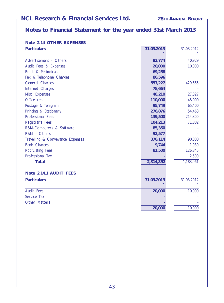# **Notes to Financial Statement for the year ended 31st March 2013**

| Note 2.14 OTHER EXPENSES |
|--------------------------|
|--------------------------|

| <b>Particulars</b>               | 31.03.2013 | 31.03.2012 |
|----------------------------------|------------|------------|
| Advertisement - Others           | 82,774     | 40,929     |
| Audit Fees & Expenses            | 20,000     | 10,000     |
| Book & Periodicals               | 69,258     |            |
| Fax & Telephone Charges          | 86,596     |            |
| General Charges                  | 557,227    | 429,665    |
| Internet Charges                 | 78,664     |            |
| Misc. Expenses                   | 48,210     | 27,327     |
| Office rent                      | 110,000    | 48,000     |
| Postage & Telegram               | 95,749     | 65,400     |
| Printing & Stationery            | 276,876    | 54,463     |
| Professional Fees                | 139,500    | 214,300    |
| Registrar's Fees                 | 104,213    | 71,802     |
| R&M-Computers & Software         | 85,350     |            |
| R&M - Others                     | 92,577     |            |
| Travelling & Conveyance Expenses | 376,114    | 90,800     |
| <b>Bank Charges</b>              | 9,744      | 1,930      |
| Roc/Listing Fees                 | 81,500     | 126,845    |
| Professional Tax                 |            | 2,500      |
| <b>Total</b>                     | 2,314,352  | 1,183,961  |
| Note 2.14.1 AUDIT FEES           |            |            |
| <b>Particulars</b>               | 31.03.2013 | 31.03.2012 |
| <b>Audit Fees</b>                | 20,000     | 10,000     |
| Service Tax                      |            |            |
| Other Matters                    |            |            |
|                                  | 20,000     | 10,000     |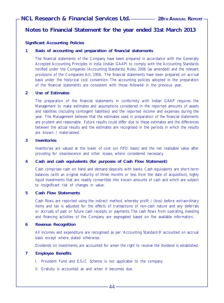# **Notes to Financial Statement for the year ended 31st March 2013**

#### **Significant Accounting Policies**

#### **1 Basis of accounting and preparation of financial statements**

The financial statements of the Company have been prepared in accordance with the Generally Accepted Accounting Principles in India (Indian GAAP) to comply with the Accounting Standards notified under the Companies (Accounting Standards) Rules, 2006 (as amended) and the relevant provisions of the Companies Act, 1956. The financial statements have been prepared on accrual basis under the historical cost convention. The accounting policies adopted in the preparation of the financial statements are consistent with those followed in the previous year.

#### **2 Use of Estimates**

The preparation of the financial statements in conformity with Indian GAAP requires the Management to make estimates and assumptions considered in the reported amounts of assets and liabilities (including contingent liabilities) and the reported income and expenses during the year. The Management believes that the estimates used in preparation of the financial statements are prudent and reasonable. Future results could differ due to these estimates and the differences between the actual results and the estimates are recognised in the periods in which the results are known / materialized.

#### **3 Inventories**

Inventories are valued at the lower of cost (on FIFO basis) and the net realisable value after providing for obsolescence and other losses, where considered necessary.

#### **4 Cash and cash equivalents (for purposes of Cash Flow Statement)**

Cash comprises cash on hand and demand deposits with banks. Cash equivalents are short-term balances (with an original maturity of three months or less from the date of acquisition), highly liquid investments that are readily convertible into known amounts of cash and which are subject to insignificant risk of changes in value.

#### **5 Cash Flow Statements**

Cash flows are reported using the indirect method, whereby profit / (loss) before extraordinary items and tax is adjusted for the effects of transactions of non-cash nature and any deferrals or accruals of past or future cash receipts or payments. The cash flows from operating, investing and financing activities of the Company are segregated based on the available information.

#### **6 Revenue Recognition**

All incomes and expenditure are recognised as per 'Accounting Standard-9' accounted on accrual basis except where stated otherwise.

Dividends on investments are accounted for when the right to receive the dividend is established.

#### **7 Employee Benefits**

- I. Provident Fund and E.S.I.C Scheme is not applicable to the company.
- II. Gratuity is accounted as and when it becomes due.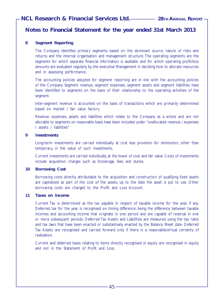# **Notes to Financial Statement for the year ended 31st March 2013**

#### **8 Segment Reporting**

The Company identifies primary segments based on the dominant source, nature of risks and returns and the internal organisation and management structure. The operating segments are the segments for which separate financial information is available and for which operating profit/loss amounts are evaluated regularly by the executive Management in deciding how to allocate resources and in assessing performance.

The accounting policies adopted for segment reporting are in line with the accounting policies of the Company. Segment revenue, segment expenses, segment assets and segment liabilities have been identified to segments on the basis of their relationship to the operating activities of the segment.

Inter-segment revenue is accounted on the basis of transactions which are primarily determined based on market / fair value factors.

Revenue, expenses, assets and liabilities which relate to the Company as a whole and are not allocable to segments on reasonable basis have been included under "unallocated revenue / expenses / assets / liabilities"

#### **9 Investments**

Long-term investments are carried individually at cost less provision for diminution, other than temporary, in the value of such investments.

Current investments are carried individually, at the lower of cost and fair value. Costs of investments include acquisition charges such as brokerage, fees and duties.

#### **10 Borrowing Cost**

Borrowing costs directly attributable to the acquisition and construction of qualifying fixed assets are capitalized as part of the cost of the assets, up to the date the asset is put to use. Other borrowing costs are charged to the Profit and Loss Account.

#### **11 Taxes on Income**

Current Tax is determined as the tax payable in respect of taxable income for the year, if any. Deferred tax for the year is recognised on timing difference; being the difference between taxable incomes and accounting income that originate in one period and are capable of reversal in one or more subsequent periods. Deferred Tax Assets and Liabilities are measured using the tax rates and tax laws that have been enacted or substantively enacted by the Balance Sheet date. Deferred Tax Assets are recognised and carried forward only if there is a reasonable/virtual certainty of realisation.

Current and deferred taxes relating to items directly recognised in equity are recognised in equity and not in the Statement of Profit and Loss.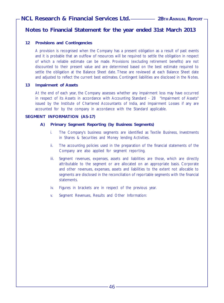# **Notes to Financial Statement for the year ended 31st March 2013**

#### **12 Provisions and Contingencies**

A provision is recognised when the Company has a present obligation as a result of past events and it is probable that an outflow of resources will be required to settle the obligation in respect of which a reliable estimate can be made. Provisions (excluding retirement benefits) are not discounted to their present value and are determined based on the best estimate required to settle the obligation at the Balance Sheet date. These are reviewed at each Balance Sheet date and adjusted to reflect the current best estimates. Contingent liabilities are disclosed in the Notes.

#### **13 Impairment of Assets**

At the end of each year, the Company assesses whether any impairment loss may have occurred in respect of its Assets in accordance with Accounting Standard - 28 "Impairment of Assets" issued by the Institute of Chartered Accountants of India, and Impairment Losses if any are accounted for by the company in accordance with the Standard applicable.

#### **SEGMENT INFORMATION (AS-17)**

#### **A) Primary Segment Reporting (by Business Segments)**

- i. The Company's business segments are identified as Textile Business, Investments in Shares & Securities and Money lending Activities.
- ii. The accounting policies used in the preparation of the financial statements of the Company are also applied for segment reporting.
- iii. Segment revenues, expenses, assets and liabilities are those, which are directly attributable to the segment or are allocated on an appropriate basis. Corporate and other revenues, expenses, assets and liabilities to the extent not allocable to segments are disclosed in the reconciliation of reportable segments with the financial statements.
- iv. Figures in brackets are in respect of the previous year.
- v. Segment Revenues, Results and Other Information: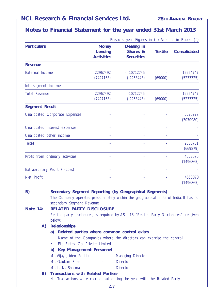# **Notes to Financial Statement for the year ended 31st March 2013**

|                                       |                                              | Previous year Figures in () Amount in Rupee () |                |                       |
|---------------------------------------|----------------------------------------------|------------------------------------------------|----------------|-----------------------|
| <b>Particulars</b>                    | <b>Money</b><br>Lending<br><b>Activities</b> | Dealing in<br>Shares &<br><b>Securities</b>    | <b>Textile</b> | <b>Consolidated</b>   |
| <b>Revenue</b>                        |                                              |                                                |                |                       |
| <b>External Income</b>                | 22967492<br>(7427168)                        | $-10712745$<br>$(-2258443)$                    | (69000)        | 12254747<br>(5237725) |
| Intersegment Income                   |                                              |                                                |                |                       |
| <b>Total Revenue</b>                  | 22967492<br>(7427168)                        | $-10712745$<br>$(-2258443)$                    | (69000)        | 12254747<br>(5237725) |
| <b>Segment Result</b>                 |                                              |                                                |                |                       |
| <b>Unallocated Corporate Expenses</b> |                                              |                                                |                | 5520927<br>(3070980)  |
| Unallocated Interest expenses         |                                              |                                                |                |                       |
| Unallocated other income              |                                              |                                                |                |                       |
| <b>Taxes</b>                          |                                              |                                                |                | 2080751<br>(669879)   |
| Profit from ordinary activities       |                                              |                                                |                | 4653070<br>(1496865)  |
| Extraordinary Profit / (Loss)         |                                              |                                                |                |                       |
| Net Profit                            |                                              |                                                |                | 4653070<br>(1496865)  |

#### **B) Secondary Segment Reporting (by Geographical Segments)**

The Company operates predominately within the geographical limits of India. It has no secondary Segment Revenue

**Note 14: RELATED PARTY DISCLOSURE**

Related party disclosures, as required by AS - 18, "Related Party Disclosures" are given below:

#### **A) Relationships**

#### **a) Related parties where common control exists**

Name of the Companies where the directors can exercise the control

- Ella Fintex Co. Private Limited
- **b) Key Management Personnel**
- Mr. Vijay Jaideo Poddar Managing Director
- Mr. Gautam Bose  **Director**
- Mr. L. N. Sharma - Director
- **B) Transactions with Related Parties-**

No Transactions were carried out during the year with the Related Party.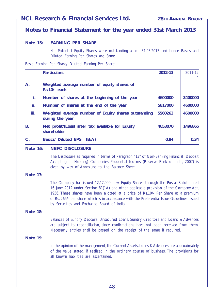# **Notes to Financial Statement for the year ended 31st March 2013**

#### **Note 15: EARNING PER SHARE**

No Potential Equity Shares were outstanding as on 31.03.2013 and hence Basics and Diluted Earning Per Shares are Same.

Basic Earning Per Share/ Diluted Earning Per Share

|             | <b>Particulars</b>                                                      | 2012-13 | 2011-12 |
|-------------|-------------------------------------------------------------------------|---------|---------|
| A.          | Weighted average number of equity shares of<br>$Rs.10/-$ each           |         |         |
| i.          | Number of shares at the beginning of the year                           | 4600000 | 3400000 |
| ii.         | Number of shares at the end of the year                                 | 5817000 | 4600000 |
| iii.        | Weighted average number of Equity shares outstanding<br>during the year | 5560263 | 4600000 |
| <b>B.</b>   | Net profit/(Loss) after tax available for Equity<br>shareholder         | 4653070 | 1496865 |
| $C_{\cdot}$ | <b>Basics/ Diluted EPS</b><br>(B/A)                                     | 0.84    | 0.34    |

#### **Note 16: NBFC DISCLOSURE**

The Disclosure as required in terms of Paragraph "13" of Non-Banking Financial (Deposit Accepting or Holding) Companies Prudential Norms (Reserve Bank of India, 2007) is given by way of Annexure to the Balance Sheet.

#### **Note 17:**

The Company has issued 12,17,000 new Equity Shares through the Postal Ballot dated 16 June 2012 under Section 81(1A) and other applicable provision of the Company Act, 1956. These shares have been allotted at a price of Rs.10/- Per Share at a premium of Rs. 265/- per share which is in accordance with the Preferential Issue Guidelines issued by Securities and Exchange Board of India.

#### **Note 18:**

Balances of Sundry Debtors, Unsecured Loans, Sundry Creditors and Loans & Advances are subject to reconciliation, since confirmations have not been received from them. Necessary entries shall be passed on the receipt of the same if required.

#### **Note 19:**

In the opinion of the management, the Current Assets, Loans & Advances are approximately of the value stated, if realized in the ordinary course of business. The provisions for all known liabilities are ascertained.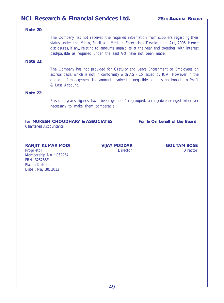#### **Note 20:**

The Company has not received the required information from suppliers regarding their status under the Micro, Small and Medium Enterprises Development Act, 2006. Hence disclosures, if any, relating to amounts unpaid as at the year end together with interest paid/payable as required under the said Act have not been made.

#### **Note 21:**

The Company has not provided for Gratuity and Leave Encashment to Employees on accrual basis, which is not in conformity with AS - 15 issued by ICAI. However, in the opinion of management the amount involved is negligible and has no impact on Profit & Loss Account.

#### **Note 22:**

Previous year's figures have been grouped/ regrouped, arranged/rearranged wherever necessary to make them comparable.

For **MUKESH CHOUDHARY & ASSOCIATES** For & On behalf of the Board Chartered Accountants

#### **RANJIT KUMAR MODI VIJAY PODDAR GOUTAM BOSE**

Proprietor Director Director Membership No.: 062254 FRN: 325258E Place : Kolkata Date : May 30, 2013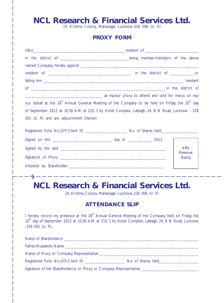# **NCL Research & Financial Services Ltd.**<br>19, Krishna Colony, Mahanagar, Lucknow-226 006 (U. P.)

# **PROXY FORM**

|                                          | as my/our proxy to attend and vote for me/us on my/                                                                                                                                                                              |
|------------------------------------------|----------------------------------------------------------------------------------------------------------------------------------------------------------------------------------------------------------------------------------|
|                                          | our behalf at the 28 <sup>th</sup> Annual General Meeting of the Company to be held on Friday, the 20 <sup>th</sup> day                                                                                                          |
|                                          | of September 2013 at 10.30 A.M. at 215, City Hotel Complex, Lalbagh, 24, B N Road, Lucknow - 226                                                                                                                                 |
| 001 (U. P.) and any adjournment thereof. |                                                                                                                                                                                                                                  |
|                                          | Registered Folio No./DP-Client ID _____________________ No. of Shares held______________                                                                                                                                         |
|                                          |                                                                                                                                                                                                                                  |
|                                          | <b>Affix</b>                                                                                                                                                                                                                     |
|                                          | Revenue                                                                                                                                                                                                                          |
|                                          | Stamp                                                                                                                                                                                                                            |
|                                          |                                                                                                                                                                                                                                  |
|                                          | ___________________                                                                                                                                                                                                              |
| $-\mathsf{f}$                            |                                                                                                                                                                                                                                  |
|                                          | <b>NCL Research &amp; Financial Services Ltd.</b><br>19, Krishna Colony, Mahanagar, Lucknow-226 006 (U. P.)                                                                                                                      |
|                                          | <b>ATTENDANCE SLIP</b>                                                                                                                                                                                                           |
| $-226001$ (U. P.).                       | I hereby record my presence at the 28 <sup>th</sup> Annual General Meeting of the Company held on Friday, the<br>20 <sup>th</sup> day of September 2013 at 10.30 A.M. at 215, City Hotel Complex, Lalbagh, 24, B N Road, Lucknow |
|                                          | Name of Shareholder/s experience and the state of the state of the state of the state of the state of the state of the state of the state of the state of the state of the state of the state of the state of the state of the   |
|                                          |                                                                                                                                                                                                                                  |
|                                          |                                                                                                                                                                                                                                  |
|                                          | Registered Folio No./DP-Client ID _______________________ No. of Shares held_______________________                                                                                                                              |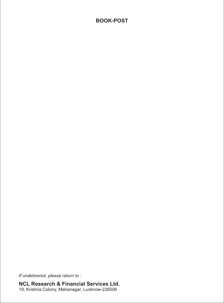# **BOOK-POST**

*If undelivered, please return to :*

**NCL Research & Financial Services Ltd.** 19, Krishna Colony, Mahanagar, Lucknow-226006